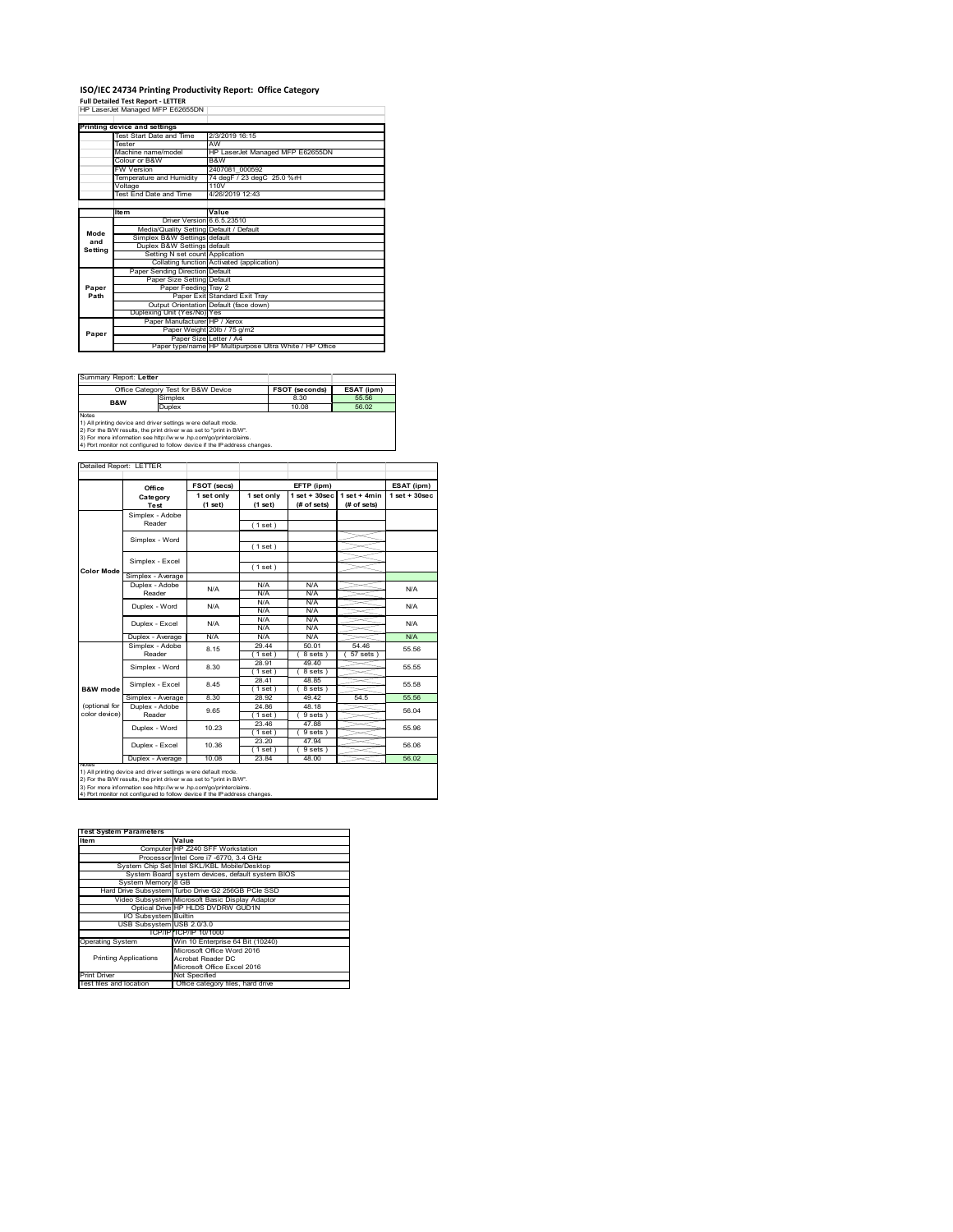### **ISO/IEC 24734 Printing Productivity Report: Office Category**

**Full Detailed Test Report ‐ LETTER** HP LaserJet Managed MFP E62655DN

|         | Printing device and settings            |                                                         |
|---------|-----------------------------------------|---------------------------------------------------------|
|         | Test Start Date and Time                | 2/3/2019 16:15                                          |
|         | <b>Tester</b>                           | AW                                                      |
|         | Machine name/model                      | HP LaserJet Managed MFP E62655DN                        |
|         | Colour or B&W                           | B&W                                                     |
|         | <b>FW Version</b>                       | 2407081 000592                                          |
|         | Temperature and Humidity                | 74 degF / 23 degC 25.0 %rH                              |
|         | Voltage                                 | 110V                                                    |
|         | Test End Date and Time                  | 4/26/2019 12:43                                         |
|         |                                         |                                                         |
|         | Item                                    | Value                                                   |
|         | Driver Version 6.6.5.23510              |                                                         |
| Mode    | Media/Quality Setting Default / Default |                                                         |
| and     | Simplex B&W Settings default            |                                                         |
| Setting | Duplex B&W Settings default             |                                                         |
|         | Setting N set count Application         |                                                         |
|         |                                         | Collating function Activated (application)              |
|         | Paper Sending Direction Default         |                                                         |
|         | Paper Size Setting Default              |                                                         |
| Paper   | Paper Feeding Tray 2                    |                                                         |
| Path    |                                         | Paper Exit Standard Exit Tray                           |
|         |                                         | Output Orientation Default (face down)                  |
|         | Duplexing Unit (Yes/No) Yes             |                                                         |
|         | Paper Manufacturer HP / Xerox           |                                                         |
| Paper   |                                         | Paper Weight 20lb / 75 g/m2                             |
|         | Paper Size Letter / A4                  |                                                         |
|         |                                         | Paper type/name HP Multipurpose Ultra White / HP Office |

| Summary Report: Letter |                                                                                                                                                                                                                                                                                        |                       |            |
|------------------------|----------------------------------------------------------------------------------------------------------------------------------------------------------------------------------------------------------------------------------------------------------------------------------------|-----------------------|------------|
|                        | Office Category Test for B&W Device                                                                                                                                                                                                                                                    | <b>FSOT (seconds)</b> | ESAT (ipm) |
| <b>B&amp;W</b>         | Simplex                                                                                                                                                                                                                                                                                | 8.30                  | 55.56      |
| Duplex                 |                                                                                                                                                                                                                                                                                        | 10.08                 | 56.02      |
| <b>Notes</b>           | 1) All printing device and driver settings w ere default mode.<br>2) For the B/W results, the print driver was set to "print in B/W".<br>3) For more information see http://www.hp.com/go/printerclaims.<br>4) Port monitor not configured to follow device if the IP address changes. |                       |            |

tailed Report: LETTER **FSOT (secs) ESAT (ipm) EFTP (ipm) Office 1 set + 30sec 1 set only (1 set) 1 set only (1 set) 1 set + 30sec (# of sets) 1 set + 4min (# of sets) Category Test** Simplex - Adobe Reader ( 1 set ) Simplex - Word ( 1 set ) Simplex - Excel ( 1 set ) **Color Mode** Simplex - Average Duplex - Adobe N/A  $N/f$ N/A Reader N/A N/A N/A N/A Duplex - Word N/A N/A N/A N/A<br>N/A N/A<br>N/A N/A Duplex - Excel N/A N/A Puplex - Average N/A N/A N/A N/A N/A N/A N/A N/A<br>
Simplex - Adobe 8.15 29.44 50.01 54.46 55.5<br>
Reader 8.15 (1 set) (8 sets) (57 sets) 8.15 55.56 29.44 50.01 54.46  $(8 \text{ sets}) (57 \text{ sets})$ 28.91 49.40 Simplex - Word 8.30 28.51<br>
1 set) (8 set)<br>
28.41 48.8<br>
1 set) (8 site)<br>
28.92 49. 55.55  $( 1 \text{ set } )$ <br> $28.41$ Simplex - Excel 8.45 55.58 **B&W** mod  $\frac{1}{8}$  sets 49.42 Simplex - Average 8.30 28.92 49.42 54.5 55.56<br>
Duplex - Adobe 9.65 24.86 48.18 56.04<br>
Reader 9.65 (1 set ) (9 sets) 56.04 (optional for color device) 9.65  $24.86$   $48.18$  56.04 48.18 (1 set ) (9 sets)<br>23.46 47.88 Duplex - Word 10.23 55.96  $(1 \text{ set})$ <br> $(23.20)$ <br> $(1 \text{ set})$ <br> $(23.84)$  $( 9 \text{ sets } )$ <br> $47.94$ ∖⊯ 10.36 56.06 Duplex - Excel  $(9 \text{ se } 48.0)$ Duplex - Average | 10.08 | 23.84 | 48.00 | <u>2000 | 56.02</u> notes<br>1) All printing device and driver settings were default mode.<br>2) For the B/W results, the print driver was set to "print in B/W".<br>3) For more information see http://www.hp.com/go/printerclaims.<br>4) Por moralitor not c

| <b>Test System Parameters</b> |                                                    |  |
|-------------------------------|----------------------------------------------------|--|
| Item                          | Value                                              |  |
|                               | Computer HP Z240 SFF Workstation                   |  |
|                               | Processor Intel Core i7 -6770, 3.4 GHz             |  |
|                               | System Chip Set Intel SKL/KBL Mobile/Desktop       |  |
|                               | System Board system devices, default system BIOS   |  |
| System Memory 8 GB            |                                                    |  |
|                               | Hard Drive Subsystem Turbo Drive G2 256GB PCle SSD |  |
|                               | Video Subsystem Microsoft Basic Display Adaptor    |  |
|                               | Optical Drive HP HLDS DVDRW GUD1N                  |  |
| I/O Subsystem Builtin         |                                                    |  |
| USB Subsystem USB 2.0/3.0     |                                                    |  |
|                               | TCP/IP TCP/IP 10/1000                              |  |
| <b>Operating System</b>       | Win 10 Enterprise 64 Bit (10240)                   |  |
|                               | Microsoft Office Word 2016                         |  |
| <b>Printing Applications</b>  | Acrobat Reader DC                                  |  |
|                               | Microsoft Office Excel 2016                        |  |
| <b>Print Driver</b>           | Not Specified                                      |  |
| Test files and location       | Office category files, hard drive                  |  |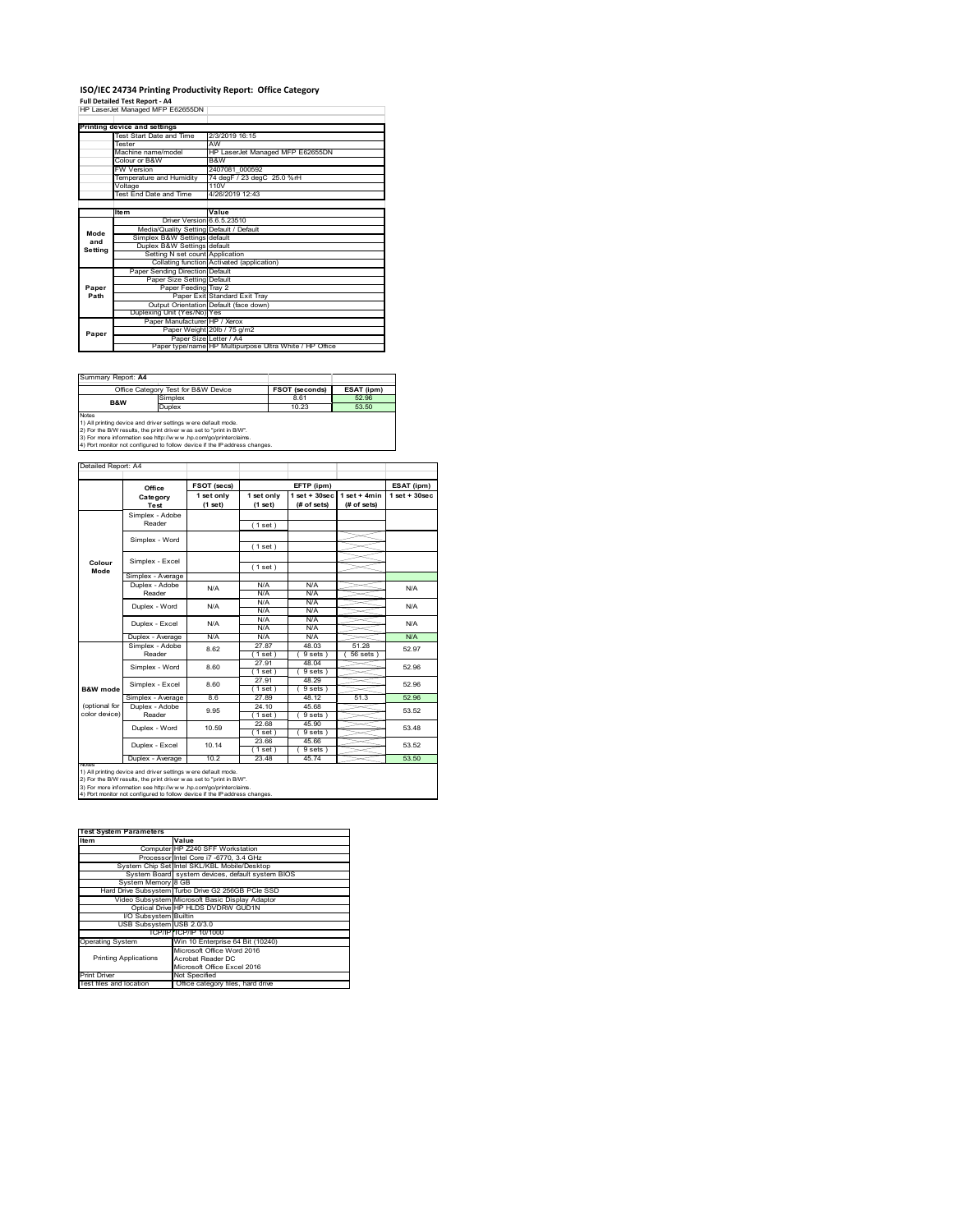### **ISO/IEC 24734 Printing Productivity Report: Office Category**

**Full Detailed Test Report ‐ A4** HP LaserJet Managed MFP E62655DN

|         | Printing device and settings            |                                                         |
|---------|-----------------------------------------|---------------------------------------------------------|
|         | Test Start Date and Time                | 2/3/2019 16:15                                          |
|         | <b>Tester</b>                           | AW                                                      |
|         | Machine name/model                      | HP LaserJet Managed MFP E62655DN                        |
|         | Colour or B&W                           | B&W                                                     |
|         | <b>FW Version</b>                       | 2407081 000592                                          |
|         | Temperature and Humidity                | 74 degF / 23 degC 25.0 %rH                              |
|         | Voltage                                 | 110V                                                    |
|         | <b>Test End Date and Time</b>           | 4/26/2019 12:43                                         |
|         |                                         |                                                         |
|         | <b>Item</b>                             | Value                                                   |
|         | Driver Version 6.6.5.23510              |                                                         |
| Mode    | Media/Quality Setting Default / Default |                                                         |
| and     | Simplex B&W Settings default            |                                                         |
| Setting | Duplex B&W Settings default             |                                                         |
|         | Setting N set count Application         |                                                         |
|         |                                         | Collating function Activated (application)              |
|         | Paper Sending Direction Default         |                                                         |
|         | Paper Size Setting Default              |                                                         |
| Paper   | Paper Feeding Tray 2                    |                                                         |
| Path    |                                         | Paper Exit Standard Exit Tray                           |
|         |                                         | Output Orientation Default (face down)                  |
|         | Duplexing Unit (Yes/No) Yes             |                                                         |
|         | Paper Manufacturer HP / Xerox           |                                                         |
| Paper   |                                         | Paper Weight 20lb / 75 g/m2                             |
|         | Paper Size Letter / A4                  |                                                         |
|         |                                         | Paper type/name HP Multipurpose Ultra White / HP Office |

Summary Report: **A4**

| $U = 1$                             |                                                                                                                                                                                                                                                                                       |                       |            |
|-------------------------------------|---------------------------------------------------------------------------------------------------------------------------------------------------------------------------------------------------------------------------------------------------------------------------------------|-----------------------|------------|
| Office Category Test for B&W Device |                                                                                                                                                                                                                                                                                       | <b>FSOT (seconds)</b> | ESAT (ipm) |
| <b>B&amp;W</b>                      | Simplex                                                                                                                                                                                                                                                                               | 8.61                  | 52.96      |
|                                     | Duplex                                                                                                                                                                                                                                                                                | 10.23                 | 53.50      |
| <b>Notes</b>                        | 1) All printing device and driver settings were default mode.<br>2) For the B/W results, the print driver was set to "print in B/W".<br>3) For more information see http://www.hp.com/go/printerclaims.<br>4) Port monitor not configured to follow device if the IP address changes. |                       |            |

**FSOT (secs) ESAT (ipm) EFTP (ipm) Office 1 set only (1 set) 1 set only (1 set) 1 set + 30sec (# of sets) 1 set + 4min (# of sets) 1 set + 30sec** ( 1 set ) ( 1 set ) ( 1 set ) Simplex - Average Duplex - Adobe  $N/f$ N/A N/A N/A N/A N/A N/A<br>N/A N/A<br>N/A N/A Puplex - Average N/A N/A N/A N/A N/A N/A N/A<br>  $\overline{S}$  Simplex - Adobe 8.62 27.87 48.03 5.2.8<br>
Reader 8.62 (1.set) (9.sets) (56.sets) 52.9 27.87 48.03 51.28  $(9 \text{ sets}) (56 \text{ sets})$ 27.91 48.04 ( 1 set ) ( 9 sets ) 27.91 48.29 (1 set ) ( 9 sets<br>
27.91 48.29<br>
(1 set ) ( 9 sets<br>
27.89 48.12 Simplex - Average 8.6 27.89 48.12 51.3 52.96<br>
Duplex - Adobe 9.95 24.10 45.68 53.52<br>
Reader 9.95 (1 set ) (9 sets) 53.52 24.10 45.68 ( 1 set ) ( 9 sets ) 22.68 45.90  $(9 \text{ sets})$ <br> $45.66$  $(1 \text{ set})$ <br> $(23.66)$ <br> $(1 \text{ set})$ <br> $23.48$  $(9$  set<br> $45.74$ Duplex - Average | 10.2 | 23.48 | 45.74 | 53.50 10.14 Duplex - Word Duplex - Excel 53.48 53.52 10.59 9.95 N/A 52.97 52.96 52.96 53.52 N/A Simplex - Word 8.60 Duplex - Excel 8.62 notes<br>1) All printing device and driver settings were default mode.<br>2) For the B/W results, the print driver was set to "print in B/W".<br>3) For more information see http://www.hp.com/go/printerclaims.<br>4) Por moralitor not c **B&W** mod (optional for color device) **Colour Mode** Simplex - Adobe Reader Simplex - Excel Simplex - Word Simplex - Excel 8.60 Reader Duplex - Word ailed Report: A4 **Category Test** N/A  $N/A$   $N/A$   $N/A$   $N/A$   $N/A$ N/A

| <b>Test System Parameters</b> |                                                    |  |  |  |
|-------------------------------|----------------------------------------------------|--|--|--|
| Item                          | Value                                              |  |  |  |
|                               | Computer HP Z240 SFF Workstation                   |  |  |  |
|                               | Processor Intel Core i7 -6770, 3.4 GHz             |  |  |  |
|                               | System Chip Set Intel SKL/KBL Mobile/Desktop       |  |  |  |
|                               | System Board system devices, default system BIOS   |  |  |  |
| System Memory 8 GB            |                                                    |  |  |  |
|                               | Hard Drive Subsystem Turbo Drive G2 256GB PCle SSD |  |  |  |
|                               | Video Subsystem Microsoft Basic Display Adaptor    |  |  |  |
|                               | Optical Drive HP HLDS DVDRW GUD1N                  |  |  |  |
| I/O Subsystem Builtin         |                                                    |  |  |  |
| USB Subsystem USB 2.0/3.0     |                                                    |  |  |  |
|                               | TCP/IPITCP/IP 10/1000                              |  |  |  |
| <b>Operating System</b>       | Win 10 Enterprise 64 Bit (10240)                   |  |  |  |
|                               | Microsoft Office Word 2016                         |  |  |  |
| <b>Printing Applications</b>  | Acrobat Reader DC                                  |  |  |  |
|                               | Microsoft Office Excel 2016                        |  |  |  |
| <b>Print Driver</b>           | Not Specified                                      |  |  |  |
| Test files and location       | Office category files, hard drive                  |  |  |  |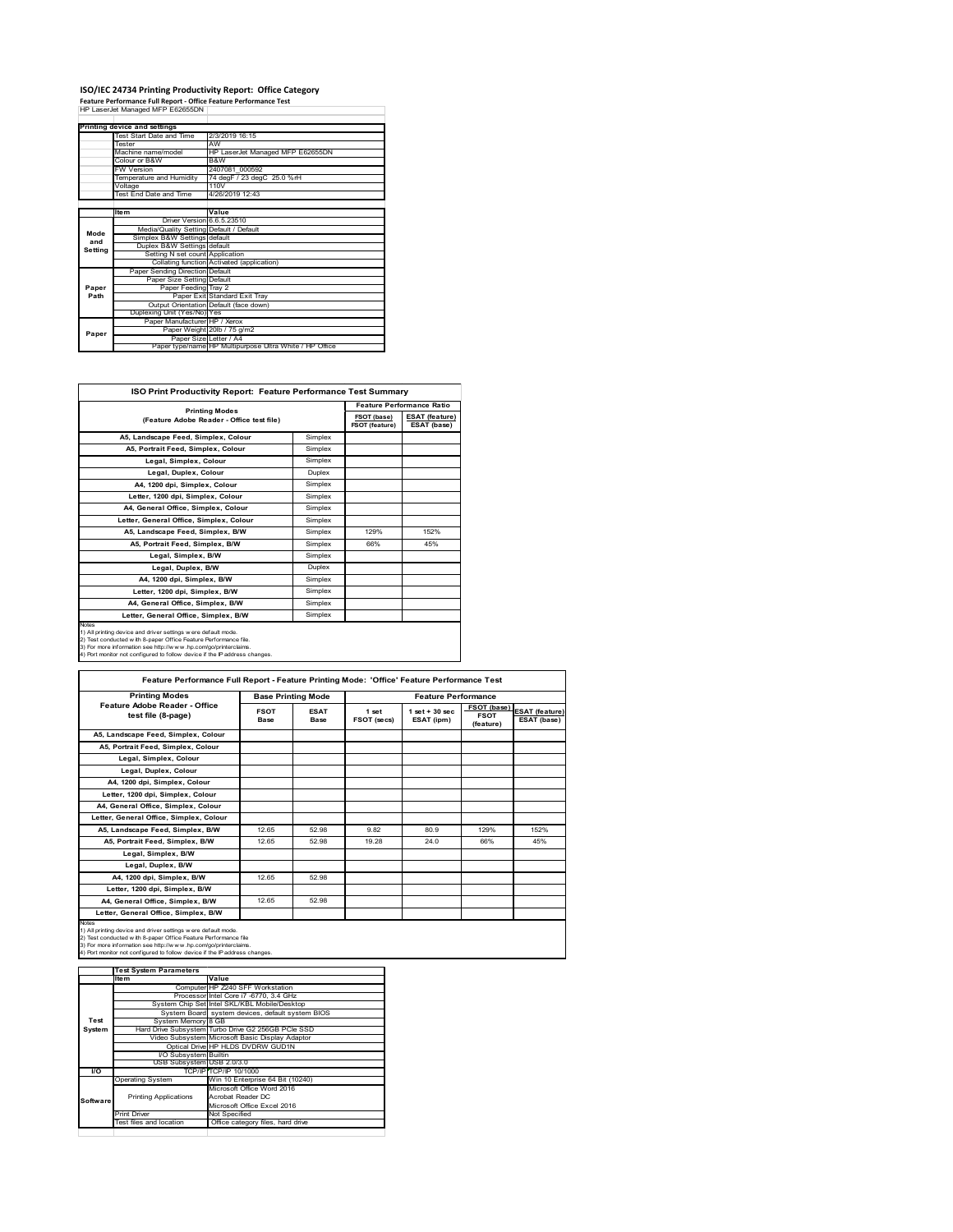# **ISO/IEC 24734 Printing Productivity Report: Office Category<br>Feature Performance Full Report - Office Feature Performance Test<br>HP LaserJet Managed MFP E62655DN |**

|         | <b>Printing device and settings</b>     |                                                         |
|---------|-----------------------------------------|---------------------------------------------------------|
|         | Test Start Date and Time                | 2/3/2019 16:15                                          |
|         | <b>Tester</b>                           | AW                                                      |
|         | Machine name/model                      | HP LaserJet Managed MFP E62655DN                        |
|         | Colour or B&W                           | B&W                                                     |
|         | <b>FW Version</b>                       | 2407081 000592                                          |
|         | Temperature and Humidity                | 74 degF / 23 degC 25.0 %rH                              |
|         | Voltage                                 | 110V                                                    |
|         | Test End Date and Time                  | 4/26/2019 12:43                                         |
|         |                                         |                                                         |
|         | <b>Item</b>                             | Value                                                   |
|         | Driver Version 6.6.5.23510              |                                                         |
| Mode    | Media/Quality Setting Default / Default |                                                         |
| and     | Simplex B&W Settings default            |                                                         |
| Setting | Duplex B&W Settings default             |                                                         |
|         | Setting N set count Application         |                                                         |
|         |                                         | Collating function Activated (application)              |
|         | Paper Sending Direction Default         |                                                         |
|         | Paper Size Setting Default              |                                                         |
| Paper   | Paper Feeding Tray 2                    |                                                         |
| Path    |                                         | Paper Exit Standard Exit Tray                           |
|         |                                         | Output Orientation Default (face down)                  |
|         | Duplexing Unit (Yes/No) Yes             |                                                         |
| Paper   | Paper Manufacturer HP / Xerox           |                                                         |
|         |                                         | Paper Weight 20lb / 75 g/m2                             |
|         | Paper Size Letter / A4                  |                                                         |
|         |                                         | Paper type/name HP Multipurpose Ultra White / HP Office |

| <b>ISO Print Productivity Report: Feature Performance Test Summary</b>                                                                                                                                                                                                                            |                                  |                               |                                      |  |
|---------------------------------------------------------------------------------------------------------------------------------------------------------------------------------------------------------------------------------------------------------------------------------------------------|----------------------------------|-------------------------------|--------------------------------------|--|
|                                                                                                                                                                                                                                                                                                   | <b>Feature Performance Ratio</b> |                               |                                      |  |
| <b>Printing Modes</b><br>(Feature Adobe Reader - Office test file)                                                                                                                                                                                                                                |                                  | FSOT (base)<br>FSOT (feature) | <b>ESAT (feature)</b><br>ESAT (base) |  |
| A5, Landscape Feed, Simplex, Colour                                                                                                                                                                                                                                                               | Simplex                          |                               |                                      |  |
| A5. Portrait Feed. Simplex. Colour                                                                                                                                                                                                                                                                | Simplex                          |                               |                                      |  |
| Legal, Simplex, Colour                                                                                                                                                                                                                                                                            | Simplex                          |                               |                                      |  |
| Legal, Duplex, Colour                                                                                                                                                                                                                                                                             | Duplex                           |                               |                                      |  |
| A4, 1200 dpi, Simplex, Colour                                                                                                                                                                                                                                                                     | Simplex                          |                               |                                      |  |
| Letter, 1200 dpi, Simplex, Colour                                                                                                                                                                                                                                                                 | Simplex                          |                               |                                      |  |
| A4. General Office. Simplex. Colour                                                                                                                                                                                                                                                               | Simplex                          |                               |                                      |  |
| Letter, General Office, Simplex, Colour                                                                                                                                                                                                                                                           | Simplex                          |                               |                                      |  |
| A5, Landscape Feed, Simplex, B/W                                                                                                                                                                                                                                                                  | Simplex                          | 129%                          | 152%                                 |  |
| A5, Portrait Feed, Simplex, B/W                                                                                                                                                                                                                                                                   | Simplex                          | 66%                           | 45%                                  |  |
| Legal, Simplex, B/W                                                                                                                                                                                                                                                                               | Simplex                          |                               |                                      |  |
| Legal, Duplex, B/W                                                                                                                                                                                                                                                                                | Duplex                           |                               |                                      |  |
| A4, 1200 dpi, Simplex, B/W                                                                                                                                                                                                                                                                        | Simplex                          |                               |                                      |  |
| Letter, 1200 dpi. Simplex, B/W                                                                                                                                                                                                                                                                    | Simplex                          |                               |                                      |  |
| A4, General Office, Simplex, B/W                                                                                                                                                                                                                                                                  | Simplex                          |                               |                                      |  |
| Letter, General Office, Simplex, B/W                                                                                                                                                                                                                                                              | Simplex                          |                               |                                      |  |
| <b>Notes</b><br>1) All printing device and driver settings were default mode.<br>2) Test conducted with 8-paper Office Feature Performance file.<br>3) For more information see http://www.hp.com/go/printerclaims.<br>4) Port monitor not configured to follow device if the IP address changes. |                                  |                               |                                      |  |

| <b>Printing Modes</b>                               | <b>Base Printing Mode</b> |                            |                      | <b>Feature Performance</b>     |                                         |                                      |
|-----------------------------------------------------|---------------------------|----------------------------|----------------------|--------------------------------|-----------------------------------------|--------------------------------------|
| Feature Adobe Reader - Office<br>test file (8-page) | <b>FSOT</b><br>Base       | <b>ESAT</b><br><b>Base</b> | 1 set<br>FSOT (secs) | $1$ set + 30 sec<br>ESAT (ipm) | FSOT (base)<br><b>FSOT</b><br>(feature) | <b>ESAT</b> (feature)<br>ESAT (base) |
| A5, Landscape Feed, Simplex, Colour                 |                           |                            |                      |                                |                                         |                                      |
| A5, Portrait Feed, Simplex, Colour                  |                           |                            |                      |                                |                                         |                                      |
| Legal, Simplex, Colour                              |                           |                            |                      |                                |                                         |                                      |
| Legal, Duplex, Colour                               |                           |                            |                      |                                |                                         |                                      |
| A4. 1200 dpi. Simplex. Colour                       |                           |                            |                      |                                |                                         |                                      |
| Letter, 1200 dpi, Simplex, Colour                   |                           |                            |                      |                                |                                         |                                      |
| A4, General Office, Simplex, Colour                 |                           |                            |                      |                                |                                         |                                      |
| Letter, General Office, Simplex, Colour             |                           |                            |                      |                                |                                         |                                      |
| A5, Landscape Feed, Simplex, B/W                    | 12.65                     | 52.98                      | 9.82                 | 80.9                           | 129%                                    | 152%                                 |
| A5, Portrait Feed, Simplex, B/W                     | 12.65                     | 52.98                      | 19 28                | 24.0                           | 66%                                     | 45%                                  |
| Legal, Simplex, B/W                                 |                           |                            |                      |                                |                                         |                                      |
| Legal, Duplex, B/W                                  |                           |                            |                      |                                |                                         |                                      |
| A4. 1200 dpi. Simplex. B/W                          | 12.65                     | 52.98                      |                      |                                |                                         |                                      |
| Letter, 1200 dpi, Simplex, B/W                      |                           |                            |                      |                                |                                         |                                      |
| A4. General Office. Simplex. B/W                    | 12.65                     | 52.98                      |                      |                                |                                         |                                      |
| Letter, General Office, Simplex, B/W                |                           |                            |                      |                                |                                         |                                      |

1) All printing device and driver settings were default mode.<br>2) Test conducted with 8-paper Office Feature Performance file<br>3) For more information see http://www.hp.com/go/printerclaims.<br>4) Port monitor not configured to

|            | <b>Test System Parameters</b> |                                                    |  |
|------------|-------------------------------|----------------------------------------------------|--|
|            | Item                          | Value                                              |  |
|            |                               | Computer HP Z240 SFF Workstation                   |  |
|            |                               | Processor Intel Core i7 -6770, 3.4 GHz             |  |
|            |                               | System Chip Set Intel SKL/KBL Mobile/Desktop       |  |
|            |                               | System Board system devices, default system BIOS   |  |
| Test       | System Memory 8 GB            |                                                    |  |
| System     |                               | Hard Drive Subsystem Turbo Drive G2 256GB PCle SSD |  |
|            |                               | Video Subsystem Microsoft Basic Display Adaptor    |  |
|            |                               | Optical Drive HP HLDS DVDRW GUD1N                  |  |
|            | I/O Subsystem Builtin         |                                                    |  |
|            | USB Subsystem USB 2.0/3.0     |                                                    |  |
| <b>I/O</b> |                               | TCP/IP/TCP/IP 10/1000                              |  |
|            | <b>Operating System</b>       | Win 10 Enterprise 64 Bit (10240)                   |  |
|            |                               | Microsoft Office Word 2016                         |  |
| Software   | <b>Printing Applications</b>  | Acrobat Reader DC                                  |  |
|            |                               | Microsoft Office Excel 2016                        |  |
|            | <b>Print Driver</b>           | Not Specified                                      |  |
|            | Test files and location       | Office category files, hard drive                  |  |
|            |                               |                                                    |  |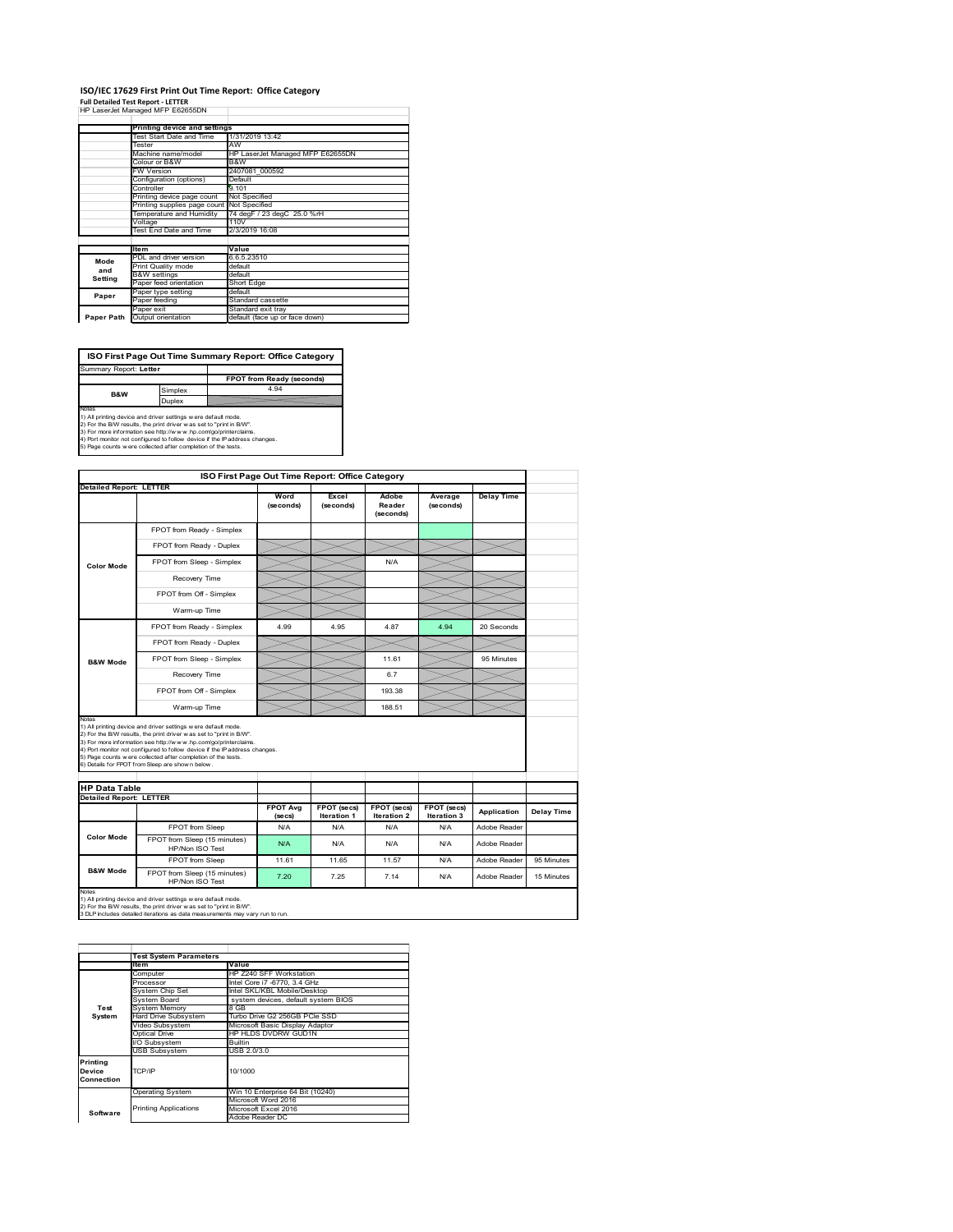#### **ISO/IEC 17629 First Print Out Time Report: Office Category** ÷

| <b>Full Detailed Test Report - LETTER</b> |  |  |  |
|-------------------------------------------|--|--|--|
| HP LaserJet Managed MFP E62655DN          |  |  |  |

|            | Printing device and settings |                                  |  |
|------------|------------------------------|----------------------------------|--|
|            | Test Start Date and Time     | 1/31/2019 13:42                  |  |
|            | Tester                       | AW                               |  |
|            | Machine name/model           | HP LaserJet Managed MFP E62655DN |  |
|            | Colour or B&W                | B&W                              |  |
|            | <b>FW Version</b>            | 2407081 000592                   |  |
|            | Configuration (options)      | Default                          |  |
|            | Controller                   | 9.101                            |  |
|            | Printing device page count   | Not Specified                    |  |
|            | Printing supplies page count | Not Specified                    |  |
|            | Temperature and Humidity     | 74 degF / 23 degC 25.0 %rH       |  |
|            | Voltage                      | 110V                             |  |
|            | Test End Date and Time       | 2/3/2019 16:08                   |  |
|            |                              |                                  |  |
|            | <b>Item</b>                  | Value                            |  |
| Mode       | PDL and driver version       | 6.6.5.23510                      |  |
| and        | Print Quality mode           | default                          |  |
| Setting    | <b>B&amp;W</b> settings      | default                          |  |
|            | Paper feed orientation       | Short Edge                       |  |
| Paper      | Paper type setting           | default                          |  |
|            | Paper feeding                | Standard cassette                |  |
|            | Paper exit                   | Standard exit tray               |  |
| Paper Path | Output orientation           | default (face up or face down)   |  |

**FPOT from Ready (seconds)**<br>Simplex 4.94 **ISO First Page Out Time Summary Report: Office Category** Summary Report: **Letter B&W**

**Duplex**<br>Notes<br>1) All printing device and driver settings were default mode.<br>2) For the BM results, the print driver was set to "print in BM".<br>4) For more information see http://www.hp.com/golprinterclaims.<br>4) Port monitor

|                                                                 |                                                                                                                                                                                                                                                                                                                                                                                                             |                            | ISO First Page Out Time Report: Office Category |                              |                            |                   |            |
|-----------------------------------------------------------------|-------------------------------------------------------------------------------------------------------------------------------------------------------------------------------------------------------------------------------------------------------------------------------------------------------------------------------------------------------------------------------------------------------------|----------------------------|-------------------------------------------------|------------------------------|----------------------------|-------------------|------------|
|                                                                 | <b>Detailed Report: LETTER</b>                                                                                                                                                                                                                                                                                                                                                                              | Word<br>(seconds)          | Excel<br>(seconds)                              | Adobe<br>Reader<br>(seconds) | Average<br>(seconds)       | <b>Delay Time</b> |            |
|                                                                 | FPOT from Ready - Simplex                                                                                                                                                                                                                                                                                                                                                                                   |                            |                                                 |                              |                            |                   |            |
|                                                                 | FPOT from Ready - Duplex                                                                                                                                                                                                                                                                                                                                                                                    |                            |                                                 |                              |                            |                   |            |
| <b>Color Mode</b>                                               | FPOT from Sleep - Simplex                                                                                                                                                                                                                                                                                                                                                                                   |                            |                                                 | N/A                          |                            |                   |            |
|                                                                 | Recovery Time                                                                                                                                                                                                                                                                                                                                                                                               |                            |                                                 |                              |                            |                   |            |
|                                                                 | FPOT from Off - Simplex                                                                                                                                                                                                                                                                                                                                                                                     |                            |                                                 |                              |                            |                   |            |
|                                                                 | Warm-up Time                                                                                                                                                                                                                                                                                                                                                                                                |                            |                                                 |                              |                            |                   |            |
|                                                                 | FPOT from Ready - Simplex                                                                                                                                                                                                                                                                                                                                                                                   | 4 9 9                      | 4 95                                            | 487                          | 4 94                       | 20 Seconds        |            |
|                                                                 | FPOT from Ready - Duplex                                                                                                                                                                                                                                                                                                                                                                                    |                            |                                                 |                              |                            |                   |            |
| <b>B&amp;W Mode</b>                                             | FPOT from Sleep - Simplex                                                                                                                                                                                                                                                                                                                                                                                   |                            |                                                 | 11.61                        |                            | 95 Minutes        |            |
|                                                                 | Recovery Time                                                                                                                                                                                                                                                                                                                                                                                               |                            |                                                 | 67                           |                            |                   |            |
|                                                                 | FPOT from Off - Simplex                                                                                                                                                                                                                                                                                                                                                                                     |                            |                                                 | 193.38                       |                            |                   |            |
|                                                                 |                                                                                                                                                                                                                                                                                                                                                                                                             |                            |                                                 |                              |                            |                   |            |
|                                                                 | Warm-up Time                                                                                                                                                                                                                                                                                                                                                                                                |                            |                                                 | 188.51                       |                            |                   |            |
|                                                                 | 1) All printing device and driver settings w ere default mode.<br>2) For the B/W results, the print driver was set to "print in B/W".<br>3) For more information see http://www.hp.com/go/printerclaims.<br>4) Port monitor not configured to follow device if the IP address changes.<br>5) Page counts w ere collected after completion of the tests.<br>6) Details for FPOT from Sleep are show n below. |                            |                                                 |                              |                            |                   |            |
|                                                                 |                                                                                                                                                                                                                                                                                                                                                                                                             |                            |                                                 |                              |                            |                   |            |
| Notes<br><b>HP Data Table</b><br><b>Detailed Report: LETTER</b> |                                                                                                                                                                                                                                                                                                                                                                                                             | <b>FPOT Avg</b><br>(se cs) | FPOT (secs)<br>Iteration 1                      | FPOT (secs)<br>Iteration 2   | FPOT (secs)<br>Iteration 3 | Application       | Delay Time |
|                                                                 | FPOT from Sleep                                                                                                                                                                                                                                                                                                                                                                                             | N/A                        | N/A                                             | N/A                          | N/A                        | Adobe Reader      |            |
| <b>Color Mode</b>                                               | FPOT from Sleep (15 minutes)<br>HP/Non ISO Test                                                                                                                                                                                                                                                                                                                                                             | N/A                        | N/A                                             | N/A                          | N/A                        | Adobe Reader      |            |
|                                                                 | FPOT from Sleep                                                                                                                                                                                                                                                                                                                                                                                             | 11.61                      | 11.65                                           | 11.57                        | N/A                        | Adobe Reader      | 95 Minutes |

1) All printing device and driver settings w ere default mode.<br>2) For the B/W results, the print driver w as set to "print in B/W".<br>3 DLP includes detailed iterations as data measurements may vary run to run.

|                                  | <b>Test System Parameters</b> |                                     |  |  |  |
|----------------------------------|-------------------------------|-------------------------------------|--|--|--|
|                                  | <b>Item</b>                   | Value                               |  |  |  |
|                                  | Computer                      | HP Z240 SFF Workstation             |  |  |  |
|                                  | Processor                     | Intel Core i7 -6770, 3.4 GHz        |  |  |  |
|                                  | System Chip Set               | Intel SKL/KBL Mobile/Desktop        |  |  |  |
|                                  | System Board                  | system devices, default system BIOS |  |  |  |
| Test                             | <b>System Memory</b>          | 8 GB                                |  |  |  |
| System                           | Hard Drive Subsystem          | Turbo Drive G2 256GB PCle SSD       |  |  |  |
|                                  | Video Subsystem               | Microsoft Basic Display Adaptor     |  |  |  |
|                                  | Optical Drive                 | HP HLDS DVDRW GUD1N                 |  |  |  |
|                                  | I/O Subsystem                 | <b>Builtin</b>                      |  |  |  |
|                                  | <b>USB Subsystem</b>          | USB 2.0/3.0                         |  |  |  |
| Printing<br>Device<br>Connection | TCP/IP                        | 10/1000                             |  |  |  |
|                                  | <b>Operating System</b>       | Win 10 Enterprise 64 Bit (10240)    |  |  |  |
|                                  |                               | Microsoft Word 2016                 |  |  |  |
| Software                         | <b>Printing Applications</b>  | Microsoft Excel 2016                |  |  |  |
|                                  |                               | Adobe Reader DC                     |  |  |  |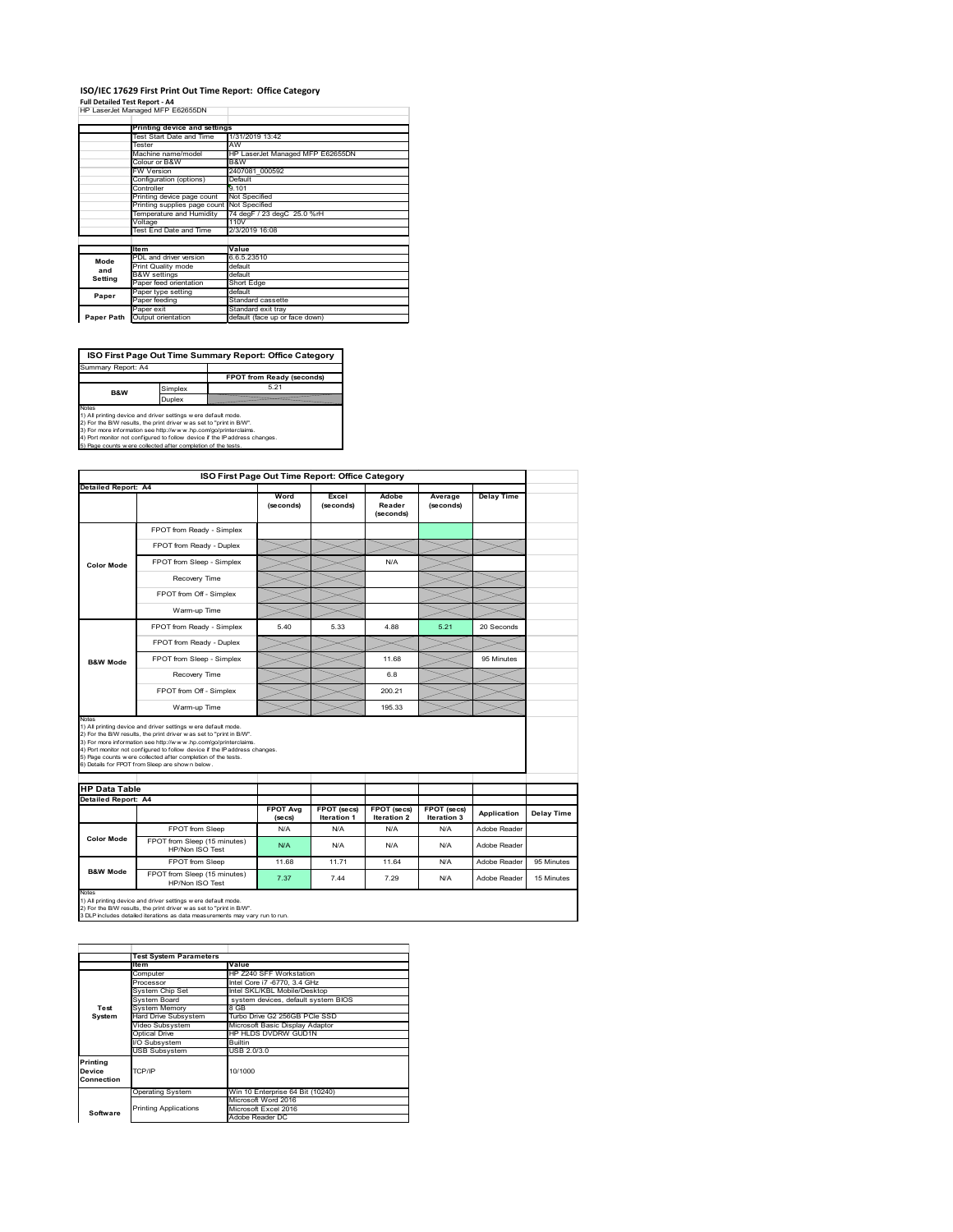## **ISO/IEC 17629 First Print Out Time Report: Office Category**

| Full Detailed Test Report - A4   |  |
|----------------------------------|--|
| HP LaserJet Managed MFP E62655DN |  |

|            | Printing device and settings               |                                  |  |  |
|------------|--------------------------------------------|----------------------------------|--|--|
|            | Test Start Date and Time                   | 1/31/2019 13:42                  |  |  |
|            | Tester                                     | AW                               |  |  |
|            | Machine name/model                         | HP LaserJet Managed MFP E62655DN |  |  |
|            | Colour or B&W                              | B&W                              |  |  |
|            | <b>FW Version</b>                          | 2407081 000592                   |  |  |
|            | Configuration (options)                    | Default                          |  |  |
|            | Controller                                 | 9.101                            |  |  |
|            | Printing device page count                 | Not Specified                    |  |  |
|            | Printing supplies page count Not Specified |                                  |  |  |
|            | Temperature and Humidity                   | 74 degF / 23 degC 25.0 %rH       |  |  |
|            | Voltage                                    | 110V                             |  |  |
|            | Test End Date and Time                     | 2/3/2019 16:08                   |  |  |
|            |                                            |                                  |  |  |
|            | <b>Item</b>                                | Value                            |  |  |
| Mode       | PDL and driver version                     | 6.6.5.23510                      |  |  |
| and        | Print Quality mode                         | default                          |  |  |
| Setting    | <b>B&amp;W</b> settings                    | default                          |  |  |
|            | Paper feed orientation                     | Short Edge                       |  |  |
| Paper      | Paper type setting                         | default                          |  |  |
|            | Paper feeding                              | Standard cassette                |  |  |
|            | Paper exit                                 | Standard exit tray               |  |  |
| Paper Path | Output orientation                         | default (face up or face down)   |  |  |

**ISO First Page Out Time Summary Report: Office Category**

**FPOT from Ready (seconds)** Simplex 5.21 Duplex Notes<br>1) All printing device and driver settings were default mode.<br>2) For the BAV results, the print driver was set to "print in BAV".<br>3) For more information see http://www.hp.com/golprinterclaims.<br>4) Port monitor not co Summary Report: A4 **B&W**

|                                                             |                                                                                                                                                                                                                                                                                                                                                                                                             | ISO First Page Out Time Report: Office Category |                                   |                                   |                                   |                   |            |
|-------------------------------------------------------------|-------------------------------------------------------------------------------------------------------------------------------------------------------------------------------------------------------------------------------------------------------------------------------------------------------------------------------------------------------------------------------------------------------------|-------------------------------------------------|-----------------------------------|-----------------------------------|-----------------------------------|-------------------|------------|
| <b>Detailed Report: A4</b>                                  |                                                                                                                                                                                                                                                                                                                                                                                                             | Word<br>(seconds)                               | Excel<br>(seconds)                | Adobe<br>Reader<br>(seconds)      | Average<br>(seconds)              | <b>Delay Time</b> |            |
|                                                             | FPOT from Ready - Simplex                                                                                                                                                                                                                                                                                                                                                                                   |                                                 |                                   |                                   |                                   |                   |            |
|                                                             | FPOT from Ready - Duplex                                                                                                                                                                                                                                                                                                                                                                                    |                                                 |                                   |                                   |                                   |                   |            |
| <b>Color Mode</b>                                           | FPOT from Sleep - Simplex                                                                                                                                                                                                                                                                                                                                                                                   |                                                 |                                   | N/A                               |                                   |                   |            |
|                                                             | Recovery Time                                                                                                                                                                                                                                                                                                                                                                                               |                                                 |                                   |                                   |                                   |                   |            |
|                                                             | FPOT from Off - Simplex                                                                                                                                                                                                                                                                                                                                                                                     |                                                 |                                   |                                   |                                   |                   |            |
|                                                             | Warm-up Time                                                                                                                                                                                                                                                                                                                                                                                                |                                                 |                                   |                                   |                                   |                   |            |
|                                                             | FPOT from Ready - Simplex                                                                                                                                                                                                                                                                                                                                                                                   | 540                                             | 5.33                              | 488                               | 5.21                              | 20 Seconds        |            |
|                                                             | FPOT from Ready - Duplex                                                                                                                                                                                                                                                                                                                                                                                    |                                                 |                                   |                                   |                                   |                   |            |
| <b>B&amp;W Mode</b>                                         | FPOT from Sleep - Simplex                                                                                                                                                                                                                                                                                                                                                                                   |                                                 |                                   | 11.68                             |                                   | 95 Minutes        |            |
|                                                             | Recovery Time                                                                                                                                                                                                                                                                                                                                                                                               |                                                 |                                   | 6.8                               |                                   |                   |            |
|                                                             |                                                                                                                                                                                                                                                                                                                                                                                                             |                                                 |                                   |                                   |                                   |                   |            |
|                                                             | FPOT from Off - Simplex                                                                                                                                                                                                                                                                                                                                                                                     |                                                 |                                   | 200.21                            |                                   |                   |            |
|                                                             | Warm-up Time                                                                                                                                                                                                                                                                                                                                                                                                |                                                 |                                   | 195 33                            |                                   |                   |            |
| Notes<br><b>HP Data Table</b><br><b>Detailed Report: A4</b> | 1) All printing device and driver settings w ere default mode.<br>2) For the B/W results, the print driver was set to "print in B/W".<br>3) For more information see http://www.hp.com/go/printerclaims.<br>4) Port monitor not configured to follow device if the IP address changes.<br>5) Page counts w ere collected after completion of the tests.<br>6) Details for FPOT from Sleep are show n below. | <b>FPOT Avg</b><br>(se cs)                      | FPOT (secs)<br><b>Iteration 1</b> | FPOT (secs)<br><b>Iteration 2</b> | FPOT (secs)<br><b>Iteration 3</b> | Application       |            |
|                                                             | FPOT from Sleep                                                                                                                                                                                                                                                                                                                                                                                             | N/A                                             | N/A                               | N/A                               | N/A                               | Adobe Reader      |            |
| <b>Color Mode</b>                                           | FPOT from Sleep (15 minutes)<br>HP/Non ISO Test                                                                                                                                                                                                                                                                                                                                                             | N/A                                             | N/A                               | N/A                               | N/A                               | Adobe Reader      | Delay Time |
| <b>B&amp;W Mode</b>                                         | FPOT from Sleep                                                                                                                                                                                                                                                                                                                                                                                             | 11.68                                           | 11.71                             | 11.64                             | N/A                               | Adobe Reader      | 95 Minutes |

|            | <b>Test System Parameters</b><br>Item | Value                               |  |  |  |
|------------|---------------------------------------|-------------------------------------|--|--|--|
|            |                                       |                                     |  |  |  |
|            | Computer                              | HP Z240 SFF Workstation             |  |  |  |
|            | Processor                             | Intel Core i7 -6770, 3.4 GHz        |  |  |  |
|            | System Chip Set                       | Intel SKL/KBL Mobile/Desktop        |  |  |  |
|            | System Board                          | system devices, default system BIOS |  |  |  |
| Test       | <b>System Memory</b>                  | 8 GB                                |  |  |  |
| System     | <b>Hard Drive Subsystem</b>           | Turbo Drive G2 256GB PCle SSD       |  |  |  |
|            | Video Subsystem                       | Microsoft Basic Display Adaptor     |  |  |  |
|            | Optical Drive                         | HP HLDS DVDRW GUD1N                 |  |  |  |
|            | I/O Subsystem                         | Builtin                             |  |  |  |
|            | <b>USB Subsystem</b>                  | USB 2.0/3.0                         |  |  |  |
| Printing   |                                       |                                     |  |  |  |
| Device     | TCP/IP                                | 10/1000                             |  |  |  |
| Connection |                                       |                                     |  |  |  |
|            | <b>Operating System</b>               | Win 10 Enterprise 64 Bit (10240)    |  |  |  |
|            |                                       | Microsoft Word 2016                 |  |  |  |
| Software   | <b>Printing Applications</b>          | Microsoft Excel 2016                |  |  |  |
|            |                                       | Adobe Reader DC                     |  |  |  |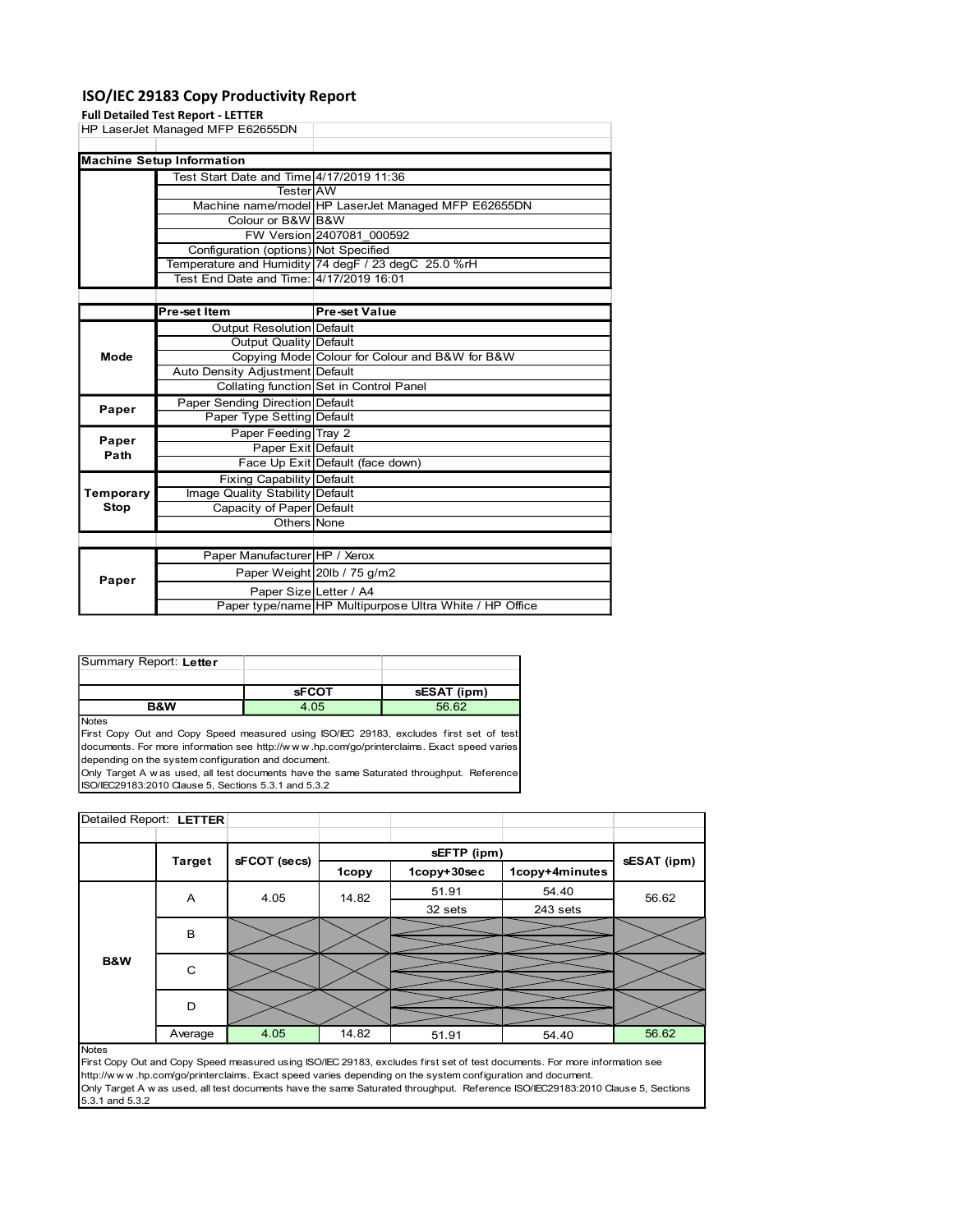### ISO/IEC 29183 Copy Productivity Report

| <b>Stop</b><br>Capacity of Paper Default<br>Others None<br>Paper Manufacturer HP / Xerox<br>Paper Weight 20lb / 75 g/m2<br>Paper<br>Paper Size Letter / A4<br>Paper type/name HP Multipurpose Ultra White / HP Office<br>Summary Report: Letter<br><b>sFCOT</b><br>sESAT (ipm)<br><b>B&amp;W</b><br>4.05<br>56.62<br>First Copy Out and Copy Speed measured using ISO/IEC 29183, excludes first set of test<br>documents. For more information see http://www.hp.com/go/printerclaims. Exact speed varies<br>depending on the system configuration and document.<br>Only Target A w as used, all test documents have the same Saturated throughput. Reference<br>ISO/IEC29183:2010 Clause 5, Sections 5.3.1 and 5.3.2<br>Detailed Report: LETTER |
|--------------------------------------------------------------------------------------------------------------------------------------------------------------------------------------------------------------------------------------------------------------------------------------------------------------------------------------------------------------------------------------------------------------------------------------------------------------------------------------------------------------------------------------------------------------------------------------------------------------------------------------------------------------------------------------------------------------------------------------------------|
|                                                                                                                                                                                                                                                                                                                                                                                                                                                                                                                                                                                                                                                                                                                                                  |
|                                                                                                                                                                                                                                                                                                                                                                                                                                                                                                                                                                                                                                                                                                                                                  |
|                                                                                                                                                                                                                                                                                                                                                                                                                                                                                                                                                                                                                                                                                                                                                  |
|                                                                                                                                                                                                                                                                                                                                                                                                                                                                                                                                                                                                                                                                                                                                                  |
|                                                                                                                                                                                                                                                                                                                                                                                                                                                                                                                                                                                                                                                                                                                                                  |
|                                                                                                                                                                                                                                                                                                                                                                                                                                                                                                                                                                                                                                                                                                                                                  |
|                                                                                                                                                                                                                                                                                                                                                                                                                                                                                                                                                                                                                                                                                                                                                  |
|                                                                                                                                                                                                                                                                                                                                                                                                                                                                                                                                                                                                                                                                                                                                                  |
|                                                                                                                                                                                                                                                                                                                                                                                                                                                                                                                                                                                                                                                                                                                                                  |
|                                                                                                                                                                                                                                                                                                                                                                                                                                                                                                                                                                                                                                                                                                                                                  |
|                                                                                                                                                                                                                                                                                                                                                                                                                                                                                                                                                                                                                                                                                                                                                  |
|                                                                                                                                                                                                                                                                                                                                                                                                                                                                                                                                                                                                                                                                                                                                                  |
|                                                                                                                                                                                                                                                                                                                                                                                                                                                                                                                                                                                                                                                                                                                                                  |
| <b>Fixing Capability Default</b><br>Temporary<br>Image Quality Stability Default                                                                                                                                                                                                                                                                                                                                                                                                                                                                                                                                                                                                                                                                 |
| Paper Exit Default<br>Path<br>Face Up Exit Default (face down)                                                                                                                                                                                                                                                                                                                                                                                                                                                                                                                                                                                                                                                                                   |
| Paper Feeding Tray 2<br>Paper                                                                                                                                                                                                                                                                                                                                                                                                                                                                                                                                                                                                                                                                                                                    |
| Paper Sending Direction Default<br>Paper<br>Paper Type Setting Default                                                                                                                                                                                                                                                                                                                                                                                                                                                                                                                                                                                                                                                                           |
| <b>Collating function Set in Control Panel</b>                                                                                                                                                                                                                                                                                                                                                                                                                                                                                                                                                                                                                                                                                                   |
| Copying Mode Colour for Colour and B&W for B&W<br>Mode<br>Auto Density Adjustment Default                                                                                                                                                                                                                                                                                                                                                                                                                                                                                                                                                                                                                                                        |
| <b>Output Resolution Default</b><br><b>Output Quality Default</b>                                                                                                                                                                                                                                                                                                                                                                                                                                                                                                                                                                                                                                                                                |
| <b>Pre-set Value</b><br>Pre-set Item                                                                                                                                                                                                                                                                                                                                                                                                                                                                                                                                                                                                                                                                                                             |
| Test End Date and Time: 4/17/2019 16:01                                                                                                                                                                                                                                                                                                                                                                                                                                                                                                                                                                                                                                                                                                          |
| Temperature and Humidity 74 degF / 23 degC 25.0 %rH                                                                                                                                                                                                                                                                                                                                                                                                                                                                                                                                                                                                                                                                                              |
| FW Version 2407081_000592<br>Configuration (options) Not Specified                                                                                                                                                                                                                                                                                                                                                                                                                                                                                                                                                                                                                                                                               |
| Colour or B&W B&W                                                                                                                                                                                                                                                                                                                                                                                                                                                                                                                                                                                                                                                                                                                                |
| <b>TesterIAW</b><br>Machine name/model HP LaserJet Managed MFP E62655DN                                                                                                                                                                                                                                                                                                                                                                                                                                                                                                                                                                                                                                                                          |
| <b>Machine Setup Information</b><br>Test Start Date and Time 4/17/2019 11:36                                                                                                                                                                                                                                                                                                                                                                                                                                                                                                                                                                                                                                                                     |
|                                                                                                                                                                                                                                                                                                                                                                                                                                                                                                                                                                                                                                                                                                                                                  |
| HP LaserJet Managed MFP E62655DN                                                                                                                                                                                                                                                                                                                                                                                                                                                                                                                                                                                                                                                                                                                 |

| Summary Report: Letter |              |             |
|------------------------|--------------|-------------|
|                        |              |             |
|                        | <b>sFCOT</b> | sESAT (ipm) |
| <b>R&amp;W</b>         | 4.05         | 56.62       |

| Path                    |                |                                                                                                             |       |                                                                                                                                                                                                                                                                                   |                                                                                                                                     |             |
|-------------------------|----------------|-------------------------------------------------------------------------------------------------------------|-------|-----------------------------------------------------------------------------------------------------------------------------------------------------------------------------------------------------------------------------------------------------------------------------------|-------------------------------------------------------------------------------------------------------------------------------------|-------------|
|                         |                | Face Up Exit Default (face down)                                                                            |       |                                                                                                                                                                                                                                                                                   |                                                                                                                                     |             |
|                         |                | Fixing Capability Default                                                                                   |       |                                                                                                                                                                                                                                                                                   |                                                                                                                                     |             |
| Temporary               |                | Image Quality Stability Default                                                                             |       |                                                                                                                                                                                                                                                                                   |                                                                                                                                     |             |
| <b>Stop</b>             |                | Capacity of Paper Default                                                                                   |       |                                                                                                                                                                                                                                                                                   |                                                                                                                                     |             |
|                         |                | Others None                                                                                                 |       |                                                                                                                                                                                                                                                                                   |                                                                                                                                     |             |
|                         |                |                                                                                                             |       |                                                                                                                                                                                                                                                                                   |                                                                                                                                     |             |
|                         |                | Paper Manufacturer HP / Xerox                                                                               |       |                                                                                                                                                                                                                                                                                   |                                                                                                                                     |             |
|                         |                | Paper Weight 20lb / 75 g/m2                                                                                 |       |                                                                                                                                                                                                                                                                                   |                                                                                                                                     |             |
| Paper                   |                |                                                                                                             |       |                                                                                                                                                                                                                                                                                   |                                                                                                                                     |             |
|                         |                | Paper Size Letter / A4                                                                                      |       |                                                                                                                                                                                                                                                                                   |                                                                                                                                     |             |
|                         |                |                                                                                                             |       | Paper type/name HP Multipurpose Ultra White / HP Office                                                                                                                                                                                                                           |                                                                                                                                     |             |
|                         |                |                                                                                                             |       |                                                                                                                                                                                                                                                                                   |                                                                                                                                     |             |
| Summary Report: Letter  |                |                                                                                                             |       |                                                                                                                                                                                                                                                                                   |                                                                                                                                     |             |
|                         |                |                                                                                                             |       |                                                                                                                                                                                                                                                                                   |                                                                                                                                     |             |
|                         |                | <b>sFCOT</b>                                                                                                |       | sESAT (ipm)                                                                                                                                                                                                                                                                       |                                                                                                                                     |             |
| Notes                   | <b>B&amp;W</b> | 4.05                                                                                                        |       | 56.62                                                                                                                                                                                                                                                                             |                                                                                                                                     |             |
|                         |                | depending on the system configuration and document.<br>ISO/IEC29183:2010 Clause 5, Sections 5.3.1 and 5.3.2 |       | First Copy Out and Copy Speed measured using ISO/IEC 29183, excludes first set of test<br>documents. For more information see http://www.hp.com/go/printerclaims. Exact speed varies<br>Only Target A w as used, all test documents have the same Saturated throughput. Reference |                                                                                                                                     |             |
| Detailed Report: LETTER |                |                                                                                                             |       |                                                                                                                                                                                                                                                                                   |                                                                                                                                     |             |
|                         |                |                                                                                                             |       |                                                                                                                                                                                                                                                                                   |                                                                                                                                     |             |
|                         |                |                                                                                                             |       |                                                                                                                                                                                                                                                                                   |                                                                                                                                     |             |
|                         | <b>Target</b>  | sFCOT (secs)                                                                                                |       | sEFTP (ipm)                                                                                                                                                                                                                                                                       |                                                                                                                                     | sESAT (ipm) |
|                         |                |                                                                                                             | 1copy | 1copy+30sec                                                                                                                                                                                                                                                                       | 1copy+4minutes                                                                                                                      |             |
|                         | A              | 4.05                                                                                                        | 14.82 | 51.91                                                                                                                                                                                                                                                                             | 54.40                                                                                                                               | 56.62       |
|                         |                |                                                                                                             |       | 32 sets                                                                                                                                                                                                                                                                           | 243 sets                                                                                                                            |             |
|                         |                |                                                                                                             |       |                                                                                                                                                                                                                                                                                   |                                                                                                                                     |             |
|                         | В              |                                                                                                             |       |                                                                                                                                                                                                                                                                                   |                                                                                                                                     |             |
| B&W                     | C              |                                                                                                             |       |                                                                                                                                                                                                                                                                                   |                                                                                                                                     |             |
|                         | D              |                                                                                                             |       |                                                                                                                                                                                                                                                                                   |                                                                                                                                     |             |
|                         |                |                                                                                                             |       |                                                                                                                                                                                                                                                                                   |                                                                                                                                     |             |
| Notes                   | Average        | 4.05                                                                                                        | 14.82 | 51.91                                                                                                                                                                                                                                                                             | 54.40<br>First Copy Out and Copy Speed measured using ISO/IEC 29183, excludes first set of test documents. For more information see | 56.62       |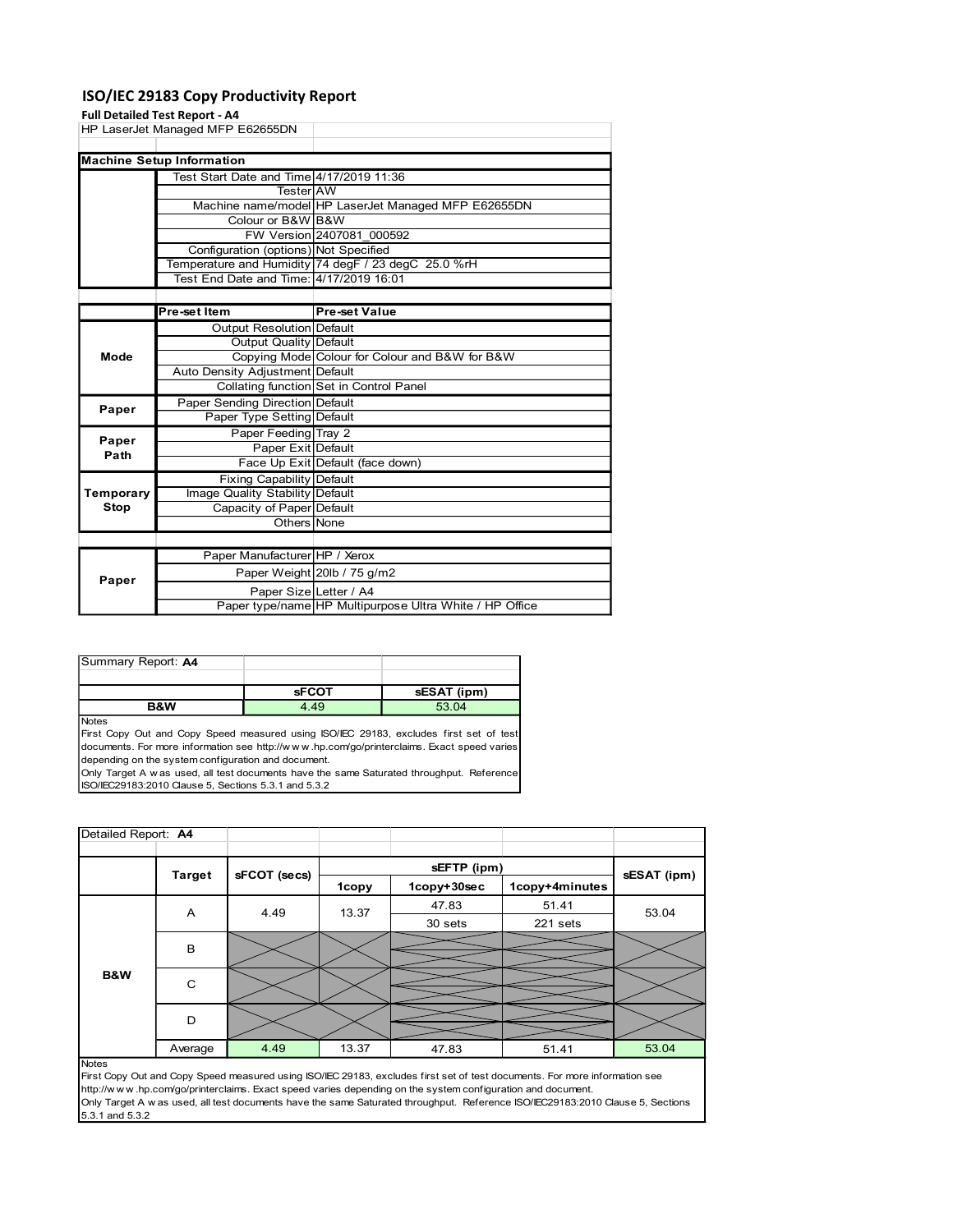### ISO/IEC 29183 Copy Productivity Report

### Full Detailed Test Report - A4

| HP LaserJet Managed MFP E62655DN<br><b>Machine Setup Information</b><br>Test Start Date and Time 4/17/2019 11:36<br>Tester AW<br>Machine name/model HP LaserJet Managed MFP E62655DN<br>Colour or B&W B&W<br>FW Version 2407081_000592<br>Configuration (options) Not Specified<br>Temperature and Humidity 74 degF / 23 degC 25.0 %rH<br>Test End Date and Time: 4/17/2019 16:01<br><b>Pre-set Value</b><br>Pre-set Item<br><b>Output Resolution Default</b><br><b>Output Quality Default</b><br>Copying Mode Colour for Colour and B&W for B&W<br>Mode<br>Auto Density Adjustment Default<br>Collating function Set in Control Panel<br>Paper Sending Direction Default<br>Paper<br>Paper Type Setting Default<br>Paper Feeding Tray 2<br>Paper<br>Paper Exit Default<br>Path<br>Face Up Exit Default (face down)<br><b>Fixing Capability Default</b><br>Temporary<br>Image Quality Stability Default<br><b>Stop</b><br>Capacity of Paper Default<br>Others None<br>Paper Manufacturer HP / Xerox<br>Paper Weight 20lb / 75 g/m2<br>Paper<br>Paper Size Letter / A4<br>Paper type/name HP Multipurpose Ultra White / HP Office<br>Summary Report: A4<br><b>sFCOT</b><br>sESAT (ipm)<br>B&W<br>4.49<br>53.04<br>Notes<br>First Copy Out and Copy Speed measured using ISO/IEC 29183, excludes first set of test<br>documents. For more information see http://www.hp.com/go/printerclaims. Exact speed varies<br>depending on the system configuration and document.<br>Only Target A w as used, all test documents have the same Saturated throughput. Reference<br>ISO/IEC29183:2010 Clause 5, Sections 5.3.1 and 5.3.2<br>Detailed Report: A4 |  |  |  |  |  |
|---------------------------------------------------------------------------------------------------------------------------------------------------------------------------------------------------------------------------------------------------------------------------------------------------------------------------------------------------------------------------------------------------------------------------------------------------------------------------------------------------------------------------------------------------------------------------------------------------------------------------------------------------------------------------------------------------------------------------------------------------------------------------------------------------------------------------------------------------------------------------------------------------------------------------------------------------------------------------------------------------------------------------------------------------------------------------------------------------------------------------------------------------------------------------------------------------------------------------------------------------------------------------------------------------------------------------------------------------------------------------------------------------------------------------------------------------------------------------------------------------------------------------------------------------------------------------------------------------------------------------------------------------|--|--|--|--|--|
|                                                                                                                                                                                                                                                                                                                                                                                                                                                                                                                                                                                                                                                                                                                                                                                                                                                                                                                                                                                                                                                                                                                                                                                                                                                                                                                                                                                                                                                                                                                                                                                                                                                   |  |  |  |  |  |
|                                                                                                                                                                                                                                                                                                                                                                                                                                                                                                                                                                                                                                                                                                                                                                                                                                                                                                                                                                                                                                                                                                                                                                                                                                                                                                                                                                                                                                                                                                                                                                                                                                                   |  |  |  |  |  |
|                                                                                                                                                                                                                                                                                                                                                                                                                                                                                                                                                                                                                                                                                                                                                                                                                                                                                                                                                                                                                                                                                                                                                                                                                                                                                                                                                                                                                                                                                                                                                                                                                                                   |  |  |  |  |  |
|                                                                                                                                                                                                                                                                                                                                                                                                                                                                                                                                                                                                                                                                                                                                                                                                                                                                                                                                                                                                                                                                                                                                                                                                                                                                                                                                                                                                                                                                                                                                                                                                                                                   |  |  |  |  |  |
|                                                                                                                                                                                                                                                                                                                                                                                                                                                                                                                                                                                                                                                                                                                                                                                                                                                                                                                                                                                                                                                                                                                                                                                                                                                                                                                                                                                                                                                                                                                                                                                                                                                   |  |  |  |  |  |
|                                                                                                                                                                                                                                                                                                                                                                                                                                                                                                                                                                                                                                                                                                                                                                                                                                                                                                                                                                                                                                                                                                                                                                                                                                                                                                                                                                                                                                                                                                                                                                                                                                                   |  |  |  |  |  |
|                                                                                                                                                                                                                                                                                                                                                                                                                                                                                                                                                                                                                                                                                                                                                                                                                                                                                                                                                                                                                                                                                                                                                                                                                                                                                                                                                                                                                                                                                                                                                                                                                                                   |  |  |  |  |  |
|                                                                                                                                                                                                                                                                                                                                                                                                                                                                                                                                                                                                                                                                                                                                                                                                                                                                                                                                                                                                                                                                                                                                                                                                                                                                                                                                                                                                                                                                                                                                                                                                                                                   |  |  |  |  |  |
|                                                                                                                                                                                                                                                                                                                                                                                                                                                                                                                                                                                                                                                                                                                                                                                                                                                                                                                                                                                                                                                                                                                                                                                                                                                                                                                                                                                                                                                                                                                                                                                                                                                   |  |  |  |  |  |
|                                                                                                                                                                                                                                                                                                                                                                                                                                                                                                                                                                                                                                                                                                                                                                                                                                                                                                                                                                                                                                                                                                                                                                                                                                                                                                                                                                                                                                                                                                                                                                                                                                                   |  |  |  |  |  |
|                                                                                                                                                                                                                                                                                                                                                                                                                                                                                                                                                                                                                                                                                                                                                                                                                                                                                                                                                                                                                                                                                                                                                                                                                                                                                                                                                                                                                                                                                                                                                                                                                                                   |  |  |  |  |  |
|                                                                                                                                                                                                                                                                                                                                                                                                                                                                                                                                                                                                                                                                                                                                                                                                                                                                                                                                                                                                                                                                                                                                                                                                                                                                                                                                                                                                                                                                                                                                                                                                                                                   |  |  |  |  |  |
|                                                                                                                                                                                                                                                                                                                                                                                                                                                                                                                                                                                                                                                                                                                                                                                                                                                                                                                                                                                                                                                                                                                                                                                                                                                                                                                                                                                                                                                                                                                                                                                                                                                   |  |  |  |  |  |
|                                                                                                                                                                                                                                                                                                                                                                                                                                                                                                                                                                                                                                                                                                                                                                                                                                                                                                                                                                                                                                                                                                                                                                                                                                                                                                                                                                                                                                                                                                                                                                                                                                                   |  |  |  |  |  |
|                                                                                                                                                                                                                                                                                                                                                                                                                                                                                                                                                                                                                                                                                                                                                                                                                                                                                                                                                                                                                                                                                                                                                                                                                                                                                                                                                                                                                                                                                                                                                                                                                                                   |  |  |  |  |  |
|                                                                                                                                                                                                                                                                                                                                                                                                                                                                                                                                                                                                                                                                                                                                                                                                                                                                                                                                                                                                                                                                                                                                                                                                                                                                                                                                                                                                                                                                                                                                                                                                                                                   |  |  |  |  |  |
|                                                                                                                                                                                                                                                                                                                                                                                                                                                                                                                                                                                                                                                                                                                                                                                                                                                                                                                                                                                                                                                                                                                                                                                                                                                                                                                                                                                                                                                                                                                                                                                                                                                   |  |  |  |  |  |
|                                                                                                                                                                                                                                                                                                                                                                                                                                                                                                                                                                                                                                                                                                                                                                                                                                                                                                                                                                                                                                                                                                                                                                                                                                                                                                                                                                                                                                                                                                                                                                                                                                                   |  |  |  |  |  |
|                                                                                                                                                                                                                                                                                                                                                                                                                                                                                                                                                                                                                                                                                                                                                                                                                                                                                                                                                                                                                                                                                                                                                                                                                                                                                                                                                                                                                                                                                                                                                                                                                                                   |  |  |  |  |  |
|                                                                                                                                                                                                                                                                                                                                                                                                                                                                                                                                                                                                                                                                                                                                                                                                                                                                                                                                                                                                                                                                                                                                                                                                                                                                                                                                                                                                                                                                                                                                                                                                                                                   |  |  |  |  |  |
|                                                                                                                                                                                                                                                                                                                                                                                                                                                                                                                                                                                                                                                                                                                                                                                                                                                                                                                                                                                                                                                                                                                                                                                                                                                                                                                                                                                                                                                                                                                                                                                                                                                   |  |  |  |  |  |
|                                                                                                                                                                                                                                                                                                                                                                                                                                                                                                                                                                                                                                                                                                                                                                                                                                                                                                                                                                                                                                                                                                                                                                                                                                                                                                                                                                                                                                                                                                                                                                                                                                                   |  |  |  |  |  |
|                                                                                                                                                                                                                                                                                                                                                                                                                                                                                                                                                                                                                                                                                                                                                                                                                                                                                                                                                                                                                                                                                                                                                                                                                                                                                                                                                                                                                                                                                                                                                                                                                                                   |  |  |  |  |  |
|                                                                                                                                                                                                                                                                                                                                                                                                                                                                                                                                                                                                                                                                                                                                                                                                                                                                                                                                                                                                                                                                                                                                                                                                                                                                                                                                                                                                                                                                                                                                                                                                                                                   |  |  |  |  |  |
|                                                                                                                                                                                                                                                                                                                                                                                                                                                                                                                                                                                                                                                                                                                                                                                                                                                                                                                                                                                                                                                                                                                                                                                                                                                                                                                                                                                                                                                                                                                                                                                                                                                   |  |  |  |  |  |
|                                                                                                                                                                                                                                                                                                                                                                                                                                                                                                                                                                                                                                                                                                                                                                                                                                                                                                                                                                                                                                                                                                                                                                                                                                                                                                                                                                                                                                                                                                                                                                                                                                                   |  |  |  |  |  |
|                                                                                                                                                                                                                                                                                                                                                                                                                                                                                                                                                                                                                                                                                                                                                                                                                                                                                                                                                                                                                                                                                                                                                                                                                                                                                                                                                                                                                                                                                                                                                                                                                                                   |  |  |  |  |  |
|                                                                                                                                                                                                                                                                                                                                                                                                                                                                                                                                                                                                                                                                                                                                                                                                                                                                                                                                                                                                                                                                                                                                                                                                                                                                                                                                                                                                                                                                                                                                                                                                                                                   |  |  |  |  |  |

| Paper |                        | Paper weight ZUID / 75 G/HZ                             |
|-------|------------------------|---------------------------------------------------------|
|       | Paper SizelLetter / A4 |                                                         |
|       |                        | Paper type/name HP Multipurpose Ultra White / HP Office |
|       |                        |                                                         |

| <b>B&amp;W</b>     | 4.49         | 53.04       |
|--------------------|--------------|-------------|
|                    | <b>SFCOT</b> | sESAT (ipm) |
|                    |              |             |
| Summary Report: A4 |              |             |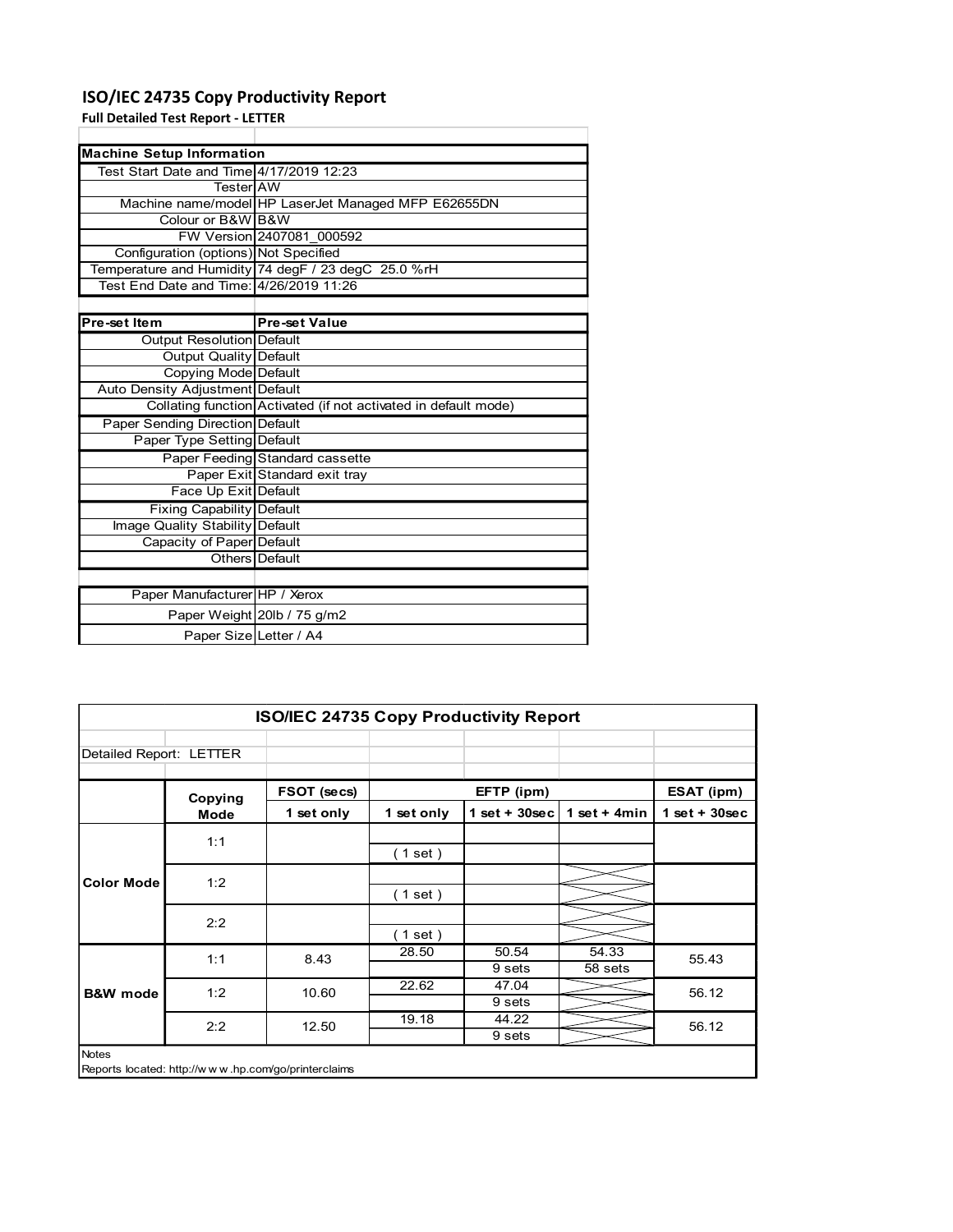### ISO/IEC 24735 Copy Productivity Report

|                                           | ISO/IEC 24735 Copy Productivity Report                          |
|-------------------------------------------|-----------------------------------------------------------------|
| <b>Full Detailed Test Report - LETTER</b> |                                                                 |
|                                           |                                                                 |
| <b>Machine Setup Information</b>          |                                                                 |
| Test Start Date and Time 4/17/2019 12:23  |                                                                 |
| Tester AW                                 |                                                                 |
|                                           | Machine name/model HP LaserJet Managed MFP E62655DN             |
| Colour or B&W B&W                         |                                                                 |
|                                           | FW Version 2407081 000592                                       |
| Configuration (options) Not Specified     |                                                                 |
|                                           | Temperature and Humidity 74 degF / 23 degC 25.0 %rH             |
| Test End Date and Time: 4/26/2019 11:26   |                                                                 |
|                                           |                                                                 |
| Pre-set Item                              | <b>Pre-set Value</b>                                            |
| Output Resolution Default                 |                                                                 |
| <b>Output Quality Default</b>             |                                                                 |
| Copying Mode Default                      |                                                                 |
| Auto Density Adjustment Default           |                                                                 |
|                                           | Collating function Activated (if not activated in default mode) |
| Paper Sending Direction Default           |                                                                 |
| Paper Type Setting Default                |                                                                 |
|                                           | Paper Feeding Standard cassette                                 |
|                                           | Paper Exit Standard exit tray                                   |
| Face Up Exit Default                      |                                                                 |
| Fixing Capability Default                 |                                                                 |
| Image Quality Stability Default           |                                                                 |
| Capacity of Paper Default                 |                                                                 |
|                                           | Others Default                                                  |
|                                           |                                                                 |
|                                           |                                                                 |
| Paper Manufacturer HP / Xerox             |                                                                 |
|                                           | Paper Weight 20lb / 75 g/m2                                     |
|                                           | Paper Size Letter / A4                                          |
|                                           |                                                                 |
|                                           |                                                                 |
|                                           |                                                                 |
|                                           |                                                                 |
|                                           |                                                                 |
|                                           | ISO/IEC 24735 Copy Productivity Report                          |

|                                                                 | Auto Density Adjustment Default |                                                     |            |                   |                |                 |
|-----------------------------------------------------------------|---------------------------------|-----------------------------------------------------|------------|-------------------|----------------|-----------------|
| Collating function Activated (if not activated in default mode) |                                 |                                                     |            |                   |                |                 |
| Paper Sending Direction Default                                 |                                 |                                                     |            |                   |                |                 |
|                                                                 | Paper Type Setting Default      |                                                     |            |                   |                |                 |
| Paper Feeding Standard cassette                                 |                                 |                                                     |            |                   |                |                 |
|                                                                 |                                 | Paper Exit Standard exit tray                       |            |                   |                |                 |
| Face Up Exit Default                                            |                                 |                                                     |            |                   |                |                 |
| Fixing Capability Default                                       |                                 |                                                     |            |                   |                |                 |
| Image Quality Stability Default<br>Capacity of Paper Default    |                                 |                                                     |            |                   |                |                 |
|                                                                 |                                 |                                                     |            |                   |                |                 |
|                                                                 |                                 | <b>Others</b> Default                               |            |                   |                |                 |
|                                                                 | Paper Manufacturer HP / Xerox   |                                                     |            |                   |                |                 |
|                                                                 |                                 | Paper Weight 20lb / 75 g/m2                         |            |                   |                |                 |
|                                                                 |                                 | Paper Size Letter / A4                              |            |                   |                |                 |
|                                                                 |                                 |                                                     |            |                   |                |                 |
|                                                                 |                                 |                                                     |            |                   |                |                 |
|                                                                 |                                 |                                                     |            |                   |                |                 |
|                                                                 |                                 |                                                     |            |                   |                |                 |
|                                                                 |                                 | ISO/IEC 24735 Copy Productivity Report              |            |                   |                |                 |
|                                                                 |                                 |                                                     |            |                   |                |                 |
| Detailed Report: LETTER                                         |                                 |                                                     |            |                   |                |                 |
|                                                                 |                                 |                                                     |            |                   |                |                 |
|                                                                 |                                 | FSOT (secs)                                         |            | EFTP (ipm)        |                | ESAT (ipm)      |
|                                                                 | Copying                         |                                                     |            | $1 set + 30 sec$  | 1 set + $4min$ | $1$ set + 30sec |
|                                                                 | Mode                            | 1 set only                                          | 1 set only |                   |                |                 |
|                                                                 | 1:1                             |                                                     |            |                   |                |                 |
|                                                                 |                                 |                                                     | (1 set)    |                   |                |                 |
| <b>Color Mode</b>                                               |                                 |                                                     |            |                   |                |                 |
|                                                                 | 1:2                             |                                                     | (1 set)    |                   |                |                 |
|                                                                 |                                 |                                                     |            |                   |                |                 |
|                                                                 | 2:2                             |                                                     | (1 set)    |                   |                |                 |
|                                                                 |                                 |                                                     | 28.50      | 50.54             | 54.33          |                 |
|                                                                 | 1:1                             | 8.43                                                |            | 9 sets            | 58 sets        | 55.43           |
|                                                                 |                                 |                                                     | 22.62      | 47.04             |                |                 |
| <b>B&amp;W</b> mode                                             | 1:2                             | 10.60                                               |            | 9 sets            |                | 56.12           |
|                                                                 |                                 | 12.50                                               | 19.18      | 44.22             |                |                 |
|                                                                 | 2:2                             |                                                     |            | 9 <sub>sets</sub> |                | 56.12           |
| Notes                                                           |                                 |                                                     |            |                   |                |                 |
|                                                                 |                                 | Reports located: http://www.hp.com/go/printerclaims |            |                   |                |                 |
|                                                                 |                                 |                                                     |            |                   |                |                 |
|                                                                 |                                 |                                                     |            |                   |                |                 |
|                                                                 |                                 |                                                     |            |                   |                |                 |
|                                                                 |                                 |                                                     |            |                   |                |                 |
|                                                                 |                                 |                                                     |            |                   |                |                 |
|                                                                 |                                 |                                                     |            |                   |                |                 |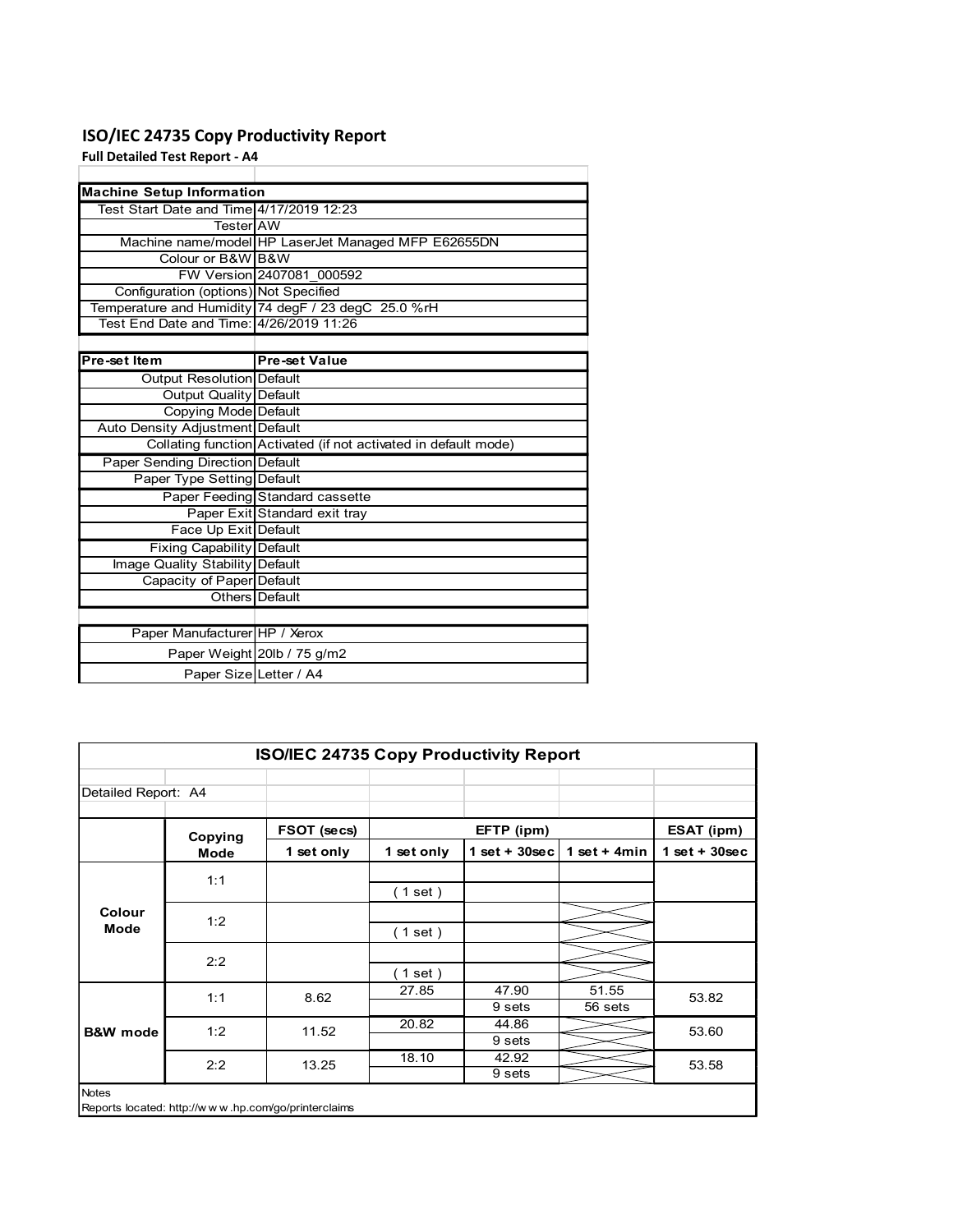### ISO/IEC 24735 Copy Productivity Report

| ISO/IEC 24735 Copy Productivity Report                       |                                                                 |  |
|--------------------------------------------------------------|-----------------------------------------------------------------|--|
|                                                              |                                                                 |  |
| <b>Full Detailed Test Report - A4</b>                        |                                                                 |  |
|                                                              |                                                                 |  |
| <b>Machine Setup Information</b>                             |                                                                 |  |
| Test Start Date and Time 4/17/2019 12:23                     |                                                                 |  |
| Tester AW                                                    |                                                                 |  |
|                                                              | Machine name/model HP LaserJet Managed MFP E62655DN             |  |
| Colour or B&W B&W                                            |                                                                 |  |
|                                                              | FW Version 2407081 000592                                       |  |
| Configuration (options) Not Specified                        |                                                                 |  |
|                                                              | Temperature and Humidity 74 degF / 23 degC 25.0 %rH             |  |
| Test End Date and Time: 4/26/2019 11:26                      |                                                                 |  |
| Pre-set Item                                                 | <b>Pre-set Value</b>                                            |  |
| Output Resolution Default                                    |                                                                 |  |
| <b>Output Quality Default</b>                                |                                                                 |  |
| <b>Copying Mode Default</b>                                  |                                                                 |  |
| Auto Density Adjustment Default                              |                                                                 |  |
|                                                              | Collating function Activated (if not activated in default mode) |  |
| <b>Paper Sending Direction Default</b>                       |                                                                 |  |
| Paper Type Setting Default                                   |                                                                 |  |
|                                                              | Paper Feeding Standard cassette                                 |  |
|                                                              | Paper Exit Standard exit tray                                   |  |
| Face Up Exit Default                                         |                                                                 |  |
|                                                              |                                                                 |  |
|                                                              |                                                                 |  |
| <b>Fixing Capability Default</b>                             |                                                                 |  |
| Image Quality Stability Default<br>Capacity of Paper Default |                                                                 |  |
|                                                              | Others Default                                                  |  |
|                                                              |                                                                 |  |
| Paper Manufacturer HP / Xerox                                |                                                                 |  |
|                                                              | Paper Weight 20lb / 75 g/m2                                     |  |
|                                                              | Paper Size Letter / A4                                          |  |
|                                                              |                                                                 |  |
|                                                              |                                                                 |  |
|                                                              |                                                                 |  |
|                                                              | ISO/IEC 24735 Copy Productivity Report                          |  |

|                                                              | Auto Density Adjustment Default                                 |                                                     |            |                   |                |                 |
|--------------------------------------------------------------|-----------------------------------------------------------------|-----------------------------------------------------|------------|-------------------|----------------|-----------------|
|                                                              | Collating function Activated (if not activated in default mode) |                                                     |            |                   |                |                 |
|                                                              | Paper Sending Direction Default                                 |                                                     |            |                   |                |                 |
|                                                              | Paper Type Setting Default                                      |                                                     |            |                   |                |                 |
| Paper Feeding Standard cassette                              |                                                                 |                                                     |            |                   |                |                 |
|                                                              |                                                                 | Paper Exit Standard exit tray                       |            |                   |                |                 |
| Face Up Exit Default                                         |                                                                 |                                                     |            |                   |                |                 |
| Fixing Capability Default                                    |                                                                 |                                                     |            |                   |                |                 |
| Image Quality Stability Default<br>Capacity of Paper Default |                                                                 |                                                     |            |                   |                |                 |
|                                                              |                                                                 |                                                     |            |                   |                |                 |
|                                                              | Others Default                                                  |                                                     |            |                   |                |                 |
|                                                              |                                                                 |                                                     |            |                   |                |                 |
|                                                              | Paper Manufacturer HP / Xerox                                   |                                                     |            |                   |                |                 |
|                                                              | Paper Weight 20lb / 75 g/m2                                     |                                                     |            |                   |                |                 |
|                                                              | Paper Size Letter / A4                                          |                                                     |            |                   |                |                 |
|                                                              |                                                                 |                                                     |            |                   |                |                 |
|                                                              |                                                                 |                                                     |            |                   |                |                 |
|                                                              |                                                                 |                                                     |            |                   |                |                 |
|                                                              |                                                                 |                                                     |            |                   |                |                 |
|                                                              |                                                                 | ISO/IEC 24735 Copy Productivity Report              |            |                   |                |                 |
|                                                              |                                                                 |                                                     |            |                   |                |                 |
| Detailed Report: A4                                          |                                                                 |                                                     |            |                   |                |                 |
|                                                              |                                                                 |                                                     |            |                   |                |                 |
|                                                              | Copying                                                         | FSOT (secs)                                         | EFTP (ipm) |                   |                | ESAT (ipm)      |
|                                                              | <b>Mode</b>                                                     |                                                     | 1 set only | $1$ set + 30sec   | 1 set + $4min$ | $1$ set + 30sec |
|                                                              |                                                                 | 1 set only                                          |            |                   |                |                 |
|                                                              |                                                                 |                                                     |            |                   |                |                 |
|                                                              | 1:1                                                             |                                                     |            |                   |                |                 |
|                                                              |                                                                 |                                                     | (1 set)    |                   |                |                 |
| Colour                                                       | 1:2                                                             |                                                     |            |                   |                |                 |
| Mode                                                         |                                                                 |                                                     | (1 set)    |                   |                |                 |
|                                                              | 2:2                                                             |                                                     |            |                   |                |                 |
|                                                              |                                                                 |                                                     | (1 set)    |                   |                |                 |
|                                                              |                                                                 |                                                     | 27.85      | 47.90             | 51.55          |                 |
|                                                              | 1:1                                                             | 8.62                                                |            | 9 sets            | 56 sets        | 53.82           |
|                                                              | 1:2                                                             | 11.52                                               | 20.82      | 44.86             |                | 53.60           |
| <b>B&amp;W</b> mode                                          |                                                                 |                                                     |            | 9 <sub>sets</sub> |                |                 |
|                                                              | 2:2                                                             | 13.25                                               | 18.10      | 42.92             |                | 53.58           |
|                                                              |                                                                 |                                                     |            | 9 <sub>sets</sub> |                |                 |
| Notes                                                        |                                                                 |                                                     |            |                   |                |                 |
|                                                              |                                                                 | Reports located: http://www.hp.com/go/printerclaims |            |                   |                |                 |
|                                                              |                                                                 |                                                     |            |                   |                |                 |
|                                                              |                                                                 |                                                     |            |                   |                |                 |
|                                                              |                                                                 |                                                     |            |                   |                |                 |
|                                                              |                                                                 |                                                     |            |                   |                |                 |
|                                                              |                                                                 |                                                     |            |                   |                |                 |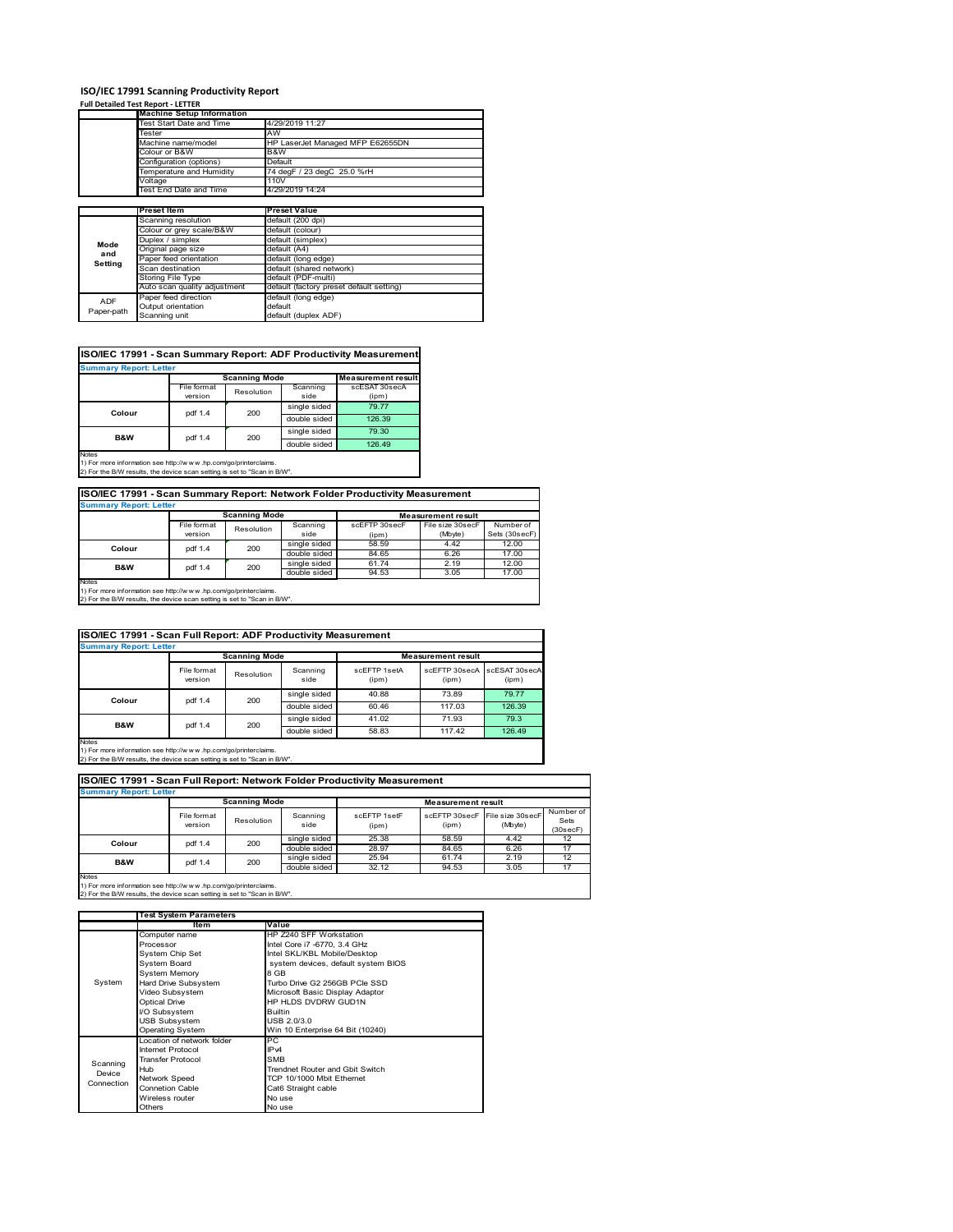### **ISO/IEC 17991 Scanning Productivity Report**

#### **Full Detailed Test Report ‐ LETTER**

|             | <b>Machine Setup Information</b> |                                          |  |  |  |  |
|-------------|----------------------------------|------------------------------------------|--|--|--|--|
|             | Test Start Date and Time         | 4/29/2019 11:27                          |  |  |  |  |
|             | Tester                           | AW<br>HP LaserJet Managed MFP E62655DN   |  |  |  |  |
|             | Machine name/model               |                                          |  |  |  |  |
|             | Colour or B&W                    | B&W                                      |  |  |  |  |
|             | Configuration (options)          | Default                                  |  |  |  |  |
|             | Temperature and Humidity         | 74 degF / 23 degC 25.0 %rH               |  |  |  |  |
|             | Voltage                          | 110V                                     |  |  |  |  |
|             | Test End Date and Time           | 4/29/2019 14:24                          |  |  |  |  |
|             |                                  |                                          |  |  |  |  |
|             | <b>Preset Item</b>               | <b>Preset Value</b>                      |  |  |  |  |
| Mode<br>and | Scanning resolution              | default (200 dpi)                        |  |  |  |  |
|             | Colour or grey scale/B&W         | default (colour)                         |  |  |  |  |
|             | Duplex / simplex                 | default (simplex)                        |  |  |  |  |
|             | Original page size               | default (A4)                             |  |  |  |  |
| Setting     | Paper feed orientation           | default (long edge)                      |  |  |  |  |
|             | Scan destination                 | default (shared network)                 |  |  |  |  |
|             | Storing File Type                | default (PDF-multi)                      |  |  |  |  |
|             | Auto scan quality adjustment     | default (factory preset default setting) |  |  |  |  |
| <b>ADF</b>  | Paper feed direction             | default (long edge)                      |  |  |  |  |
|             | Output orientation               | default                                  |  |  |  |  |
| Paper-path  | Scanning unit                    | default (duplex ADF)                     |  |  |  |  |

### **ISO/IEC 17991 - Scan Summary Report: ADF Productivity Measurement**

| <b>Summary Report: Letter</b>                                                                               |             |                      |              |                           |  |  |
|-------------------------------------------------------------------------------------------------------------|-------------|----------------------|--------------|---------------------------|--|--|
|                                                                                                             |             | <b>Scanning Mode</b> |              | <b>Measurement result</b> |  |  |
|                                                                                                             | File format | Resolution           | Scanning     | scESAT 30secA             |  |  |
|                                                                                                             | version     |                      | side         | (ipm)                     |  |  |
| Colour                                                                                                      | pdf 1.4     | 200                  | single sided | 79.77                     |  |  |
|                                                                                                             |             |                      | double sided | 126.39                    |  |  |
| <b>B&amp;W</b>                                                                                              | pdf 1.4     | 200                  | single sided | 79.30                     |  |  |
|                                                                                                             |             |                      | double sided | 126.49                    |  |  |
| <b>Notes</b><br>45 For access to former their area to the discussed to a constant industrial characteristic |             |                      |              |                           |  |  |

1) For more information see http://w w w .hp.com/go/printerclaims. 2) For the B/W results, the device scan setting is set to "Scan in B/W".

#### **ISO/IEC 17991 - Scan Summary Report: Network Folder Productivity Measurement**

| <b>Summary Report: Letter</b> |                       |                      |                           |               |                  |               |
|-------------------------------|-----------------------|----------------------|---------------------------|---------------|------------------|---------------|
|                               |                       | <b>Scanning Mode</b> | <b>Measurement result</b> |               |                  |               |
|                               | File format           | Resolution           | Scanning                  | scEFTP 30secF | File size 30secF | Number of     |
|                               | version               |                      | side                      | (ipm)         | (Mbyte)          | Sets (30secF) |
| Colour                        | 200<br>pdf 1.4        |                      | single sided              | 58.59         | 4.42             | 12.00         |
|                               |                       |                      | double sided              | 84.65         | 6.26             | 17.00         |
|                               | 200<br>pdf 1.4<br>B&W |                      | single sided              | 61.74         | 2.19             | 12.00         |
|                               |                       |                      | double sided              | 94.53         | 3.05             | 17.00         |
| Notes                         |                       |                      |                           |               |                  |               |

Notes 1) For more information see http://w w w .hp.com/go/printerclaims. 2) For the B/W results, the device scan setting is set to "Scan in B/W".

#### File format version Resolution Scanning side scEFTP 1setA (ipm) scEFTP 30secA (ipm) scESAT 30secA (ipm) single sided 40.88 73.89 79.77<br>double sided 60.46 117.03 126.39<br>single sided 41.02 71.93 79.3 double sided 60.46 117.03<br>single sided 41.02 71.93 single sided  $\begin{array}{|c|c|c|c|}\n\hline\n41.02 & 71.93 & 79.3 \\
\hline\n600ble sided & 58.83 & 117.42 & 126.49\n\end{array}$ double sid **ISO/IEC 17991 - Scan Full Report: ADF Productivity Measurement Immary Report: Letter Measurement** re **Scanning Mode Colour** pdf 1.4 200 **B&W** pdf 1.4 200

Notes 1) For more information see http://w w w .hp.com/go/printerclaims. 2) For the B/W results, the device scan setting is set to "Scan in B/W".

| ISO/IEC 17991 - Scan Full Report: Network Folder Productivity Measurement<br><b>Summary Report: Letter</b> |                        |                      |                  |                       |                           |                             |                               |
|------------------------------------------------------------------------------------------------------------|------------------------|----------------------|------------------|-----------------------|---------------------------|-----------------------------|-------------------------------|
|                                                                                                            |                        | <b>Scanning Mode</b> |                  |                       | <b>Measurement result</b> |                             |                               |
|                                                                                                            | File format<br>version | Resolution           | Scanning<br>side | scFFTP 1setF<br>(ipm) | scFFTP 30secF<br>(ipm)    | File size 30secF<br>(Mbyte) | Number of<br>Sets<br>(30secF) |
| Colour                                                                                                     | pdf 1.4                | 200                  | single sided     | 25.38                 | 58.59                     | 4.42                        | 12                            |
|                                                                                                            |                        |                      | double sided     | 28.97                 | 84.65                     | 6.26                        | 17                            |
| B&W                                                                                                        | pdf 1.4                | 200                  | single sided     | 25.94                 | 61.74                     | 2.19                        | 12                            |
|                                                                                                            |                        |                      | double sided     | 32.12                 | 94.53                     | 3.05                        | 17                            |

 $\overline{\phantom{a}}$ 

1) For more information see http://w w w .hp.com/go/printerclaims. 2) For the B/W results, the device scan setting is set to "Scan in B/W".

|            | <b>Test System Parameters</b> |                                     |
|------------|-------------------------------|-------------------------------------|
|            | ltem                          | Value                               |
|            | Computer name                 | HP Z240 SFF Workstation             |
|            | Processor                     | Intel Core i7 -6770, 3.4 GHz        |
|            | System Chip Set               | Intel SKL/KBL Mobile/Desktop        |
|            | System Board                  | system devices, default system BIOS |
|            | <b>System Memory</b>          | 8 GB                                |
| System     | Hard Drive Subsystem          | Turbo Drive G2 256GB PCIe SSD       |
|            | Video Subsystem               | Microsoft Basic Display Adaptor     |
|            | <b>Optical Drive</b>          | HP HLDS DVDRW GUD1N                 |
|            | I/O Subsystem                 | <b>Builtin</b>                      |
|            | <b>USB Subsystem</b>          | USB 2.0/3.0                         |
|            | <b>Operating System</b>       | Win 10 Enterprise 64 Bit (10240)    |
|            | Location of network folder    | РC                                  |
|            | Internet Protocol             | IP <sub>v4</sub>                    |
| Scanning   | <b>Transfer Protocol</b>      | <b>SMB</b>                          |
| Device     | Hub                           | Trendnet Router and Gbit Switch     |
| Connection | Network Speed                 | TCP 10/1000 Mbit Ethernet           |
|            | Connetion Cable               | Cat6 Straight cable                 |
|            | Wireless router               | No use                              |
|            | Others                        | No use                              |